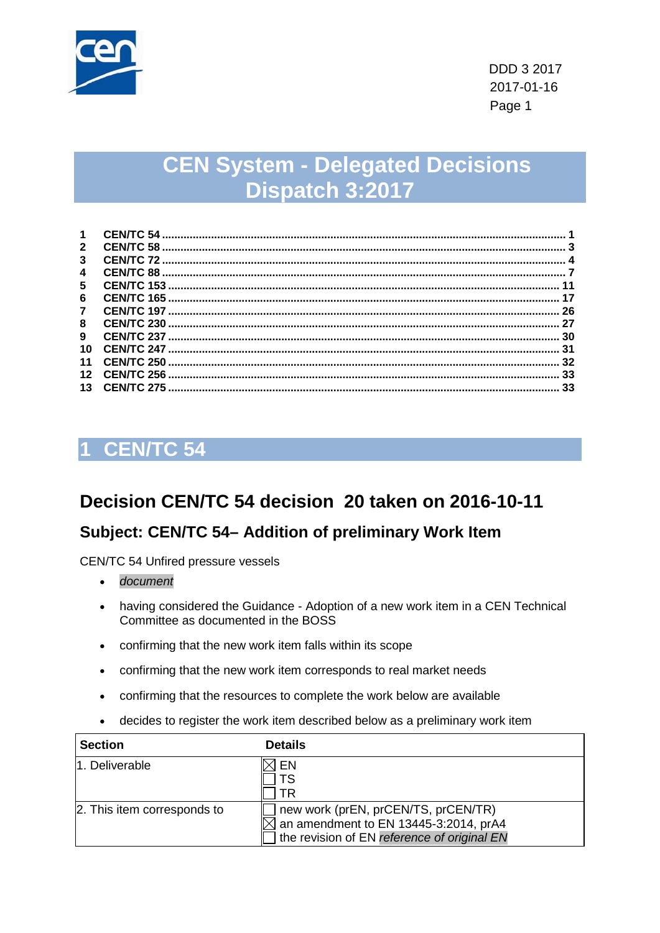

# **CEN System - Delegated Decisions Dispatch 3:2017**

| 1                   |            |    |
|---------------------|------------|----|
| $\mathbf{2}$        |            |    |
| 3                   |            |    |
| $\overline{\bf{4}}$ |            |    |
| 5                   |            |    |
| 6                   |            | 17 |
| $\overline{7}$      |            | 26 |
| 8                   | CEN/TC 230 | 27 |
| 9                   |            | 30 |
| 10                  |            | 31 |
| 11                  |            | 32 |
| 12                  |            | 33 |
| 13                  |            | 33 |

## <span id="page-0-0"></span>**1 CEN/TC 54**

## **Decision CEN/TC 54 decision 20 taken on 2016-10-11**

### **Subject: CEN/TC 54– Addition of preliminary Work Item**

CEN/TC 54 Unfired pressure vessels

- *document*
- having considered the Guidance Adoption of a new work item in a CEN Technical Committee as documented in the BOSS
- confirming that the new work item falls within its scope
- confirming that the new work item corresponds to real market needs
- confirming that the resources to complete the work below are available
- decides to register the work item described below as a preliminary work item

| <b>Section</b>              | <b>Details</b>                                                                                                                                     |
|-----------------------------|----------------------------------------------------------------------------------------------------------------------------------------------------|
| 11. Deliverable             | EN<br>ΤR                                                                                                                                           |
| 2. This item corresponds to | new work (prEN, prCEN/TS, prCEN/TR)<br>$\overline{\triangle}$ an amendment to EN 13445-3:2014, prA4<br>the revision of EN reference of original EN |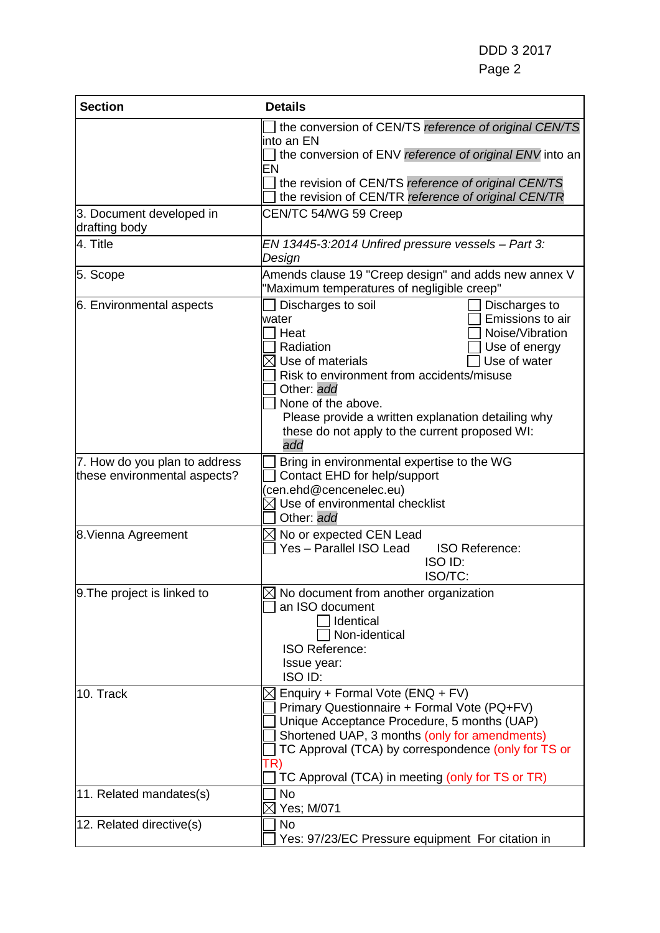| <b>Section</b>                                                | <b>Details</b>                                                                                                                                                                                                                                                                                                                                                |
|---------------------------------------------------------------|---------------------------------------------------------------------------------------------------------------------------------------------------------------------------------------------------------------------------------------------------------------------------------------------------------------------------------------------------------------|
|                                                               | the conversion of CEN/TS reference of original CEN/TS<br>into an EN<br>the conversion of ENV reference of original ENV into an<br>EN<br>the revision of CEN/TS reference of original CEN/TS<br>the revision of CEN/TR reference of original CEN/TR                                                                                                            |
| 3. Document developed in<br>drafting body                     | CEN/TC 54/WG 59 Creep                                                                                                                                                                                                                                                                                                                                         |
| 4. Title                                                      | EN 13445-3:2014 Unfired pressure vessels - Part 3:<br>Design                                                                                                                                                                                                                                                                                                  |
| 5. Scope                                                      | Amends clause 19 "Creep design" and adds new annex V<br>"Maximum temperatures of negligible creep"                                                                                                                                                                                                                                                            |
| 6. Environmental aspects                                      | Discharges to soil<br>Discharges to<br>Emissions to air<br>water<br>Noise/Vibration<br>Heat<br>Radiation<br>Use of energy<br>Use of water<br>Use of materials<br>Risk to environment from accidents/misuse<br>Other: add<br>None of the above.<br>Please provide a written explanation detailing why<br>these do not apply to the current proposed WI:<br>add |
| 7. How do you plan to address<br>these environmental aspects? | Bring in environmental expertise to the WG<br>Contact EHD for help/support<br>(cen.ehd@cencenelec.eu)<br>$\boxtimes$ Use of environmental checklist<br>Other: add                                                                                                                                                                                             |
| 8. Vienna Agreement                                           | $\boxtimes$ No or expected CEN Lead<br>Yes - Parallel ISO Lead<br><b>ISO Reference:</b><br>ISO ID:<br>ISO/TC:                                                                                                                                                                                                                                                 |
| 9. The project is linked to                                   | $\boxtimes$ No document from another organization<br>an ISO document<br>Identical<br>Non-identical<br><b>ISO Reference:</b><br>Issue year:<br>ISO ID:                                                                                                                                                                                                         |
| 10. Track                                                     | Enquiry + Formal Vote (ENQ + FV)<br>Primary Questionnaire + Formal Vote (PQ+FV)<br>Unique Acceptance Procedure, 5 months (UAP)<br>Shortened UAP, 3 months (only for amendments)<br>TC Approval (TCA) by correspondence (only for TS or<br>TR)<br>TC Approval (TCA) in meeting (only for TS or TR)                                                             |
| 11. Related mandates(s)                                       | <b>No</b><br>Yes; M/071                                                                                                                                                                                                                                                                                                                                       |
| 12. Related directive(s)                                      | <b>No</b><br>Yes: 97/23/EC Pressure equipment For citation in                                                                                                                                                                                                                                                                                                 |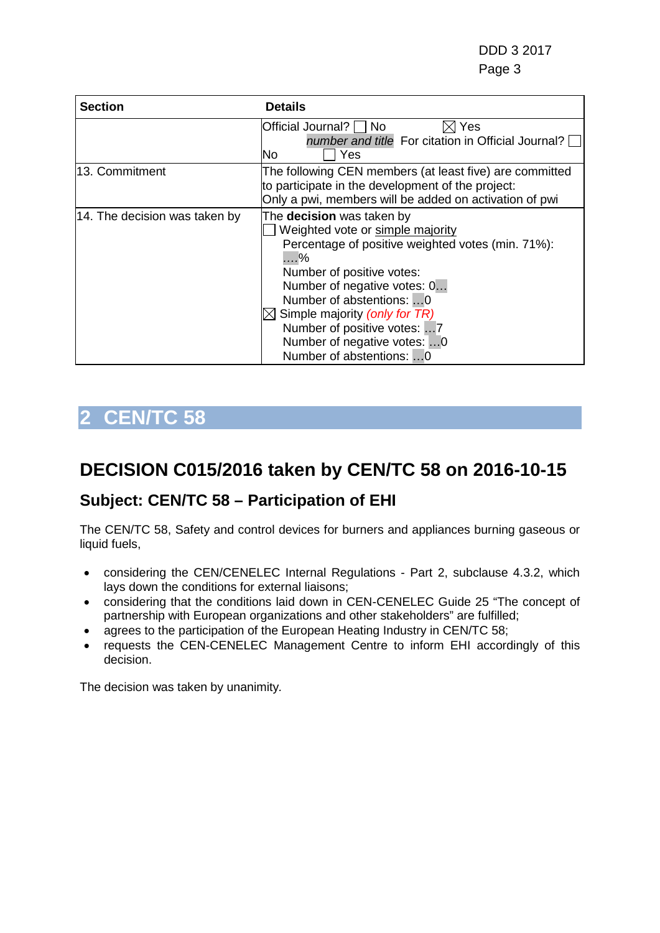| <b>Section</b>                | <b>Details</b>                                                                                                                                                                                                                                                                                                                                            |
|-------------------------------|-----------------------------------------------------------------------------------------------------------------------------------------------------------------------------------------------------------------------------------------------------------------------------------------------------------------------------------------------------------|
|                               | $\boxtimes$ Yes<br>Official Journal?   No<br>number and title For citation in Official Journal? $\Box$<br>Yes<br>lNo                                                                                                                                                                                                                                      |
| 13. Commitment                | The following CEN members (at least five) are committed<br>to participate in the development of the project:<br>Only a pwi, members will be added on activation of pwi                                                                                                                                                                                    |
| 14. The decision was taken by | The <b>decision</b> was taken by<br>Weighted vote or simple majority<br>Percentage of positive weighted votes (min. 71%):<br>$\dots$ %<br>Number of positive votes:<br>Number of negative votes: 0<br>Number of abstentions: 0<br>Simple majority (only for TR)<br>Number of positive votes: 7<br>Number of negative votes: 0<br>Number of abstentions: 0 |

## <span id="page-2-0"></span>**DECISION C015/2016 taken by CEN/TC 58 on 2016-10-15**

### **Subject: CEN/TC 58 – Participation of EHI**

The CEN/TC 58, Safety and control devices for burners and appliances burning gaseous or liquid fuels,

- considering the CEN/CENELEC Internal Regulations Part 2, subclause 4.3.2, which lays down the conditions for external liaisons;
- considering that the conditions laid down in CEN-CENELEC Guide 25 "The concept of partnership with European organizations and other stakeholders" are fulfilled;
- agrees to the participation of the European Heating Industry in CEN/TC 58;
- requests the CEN-CENELEC Management Centre to inform EHI accordingly of this decision.

The decision was taken by unanimity*.*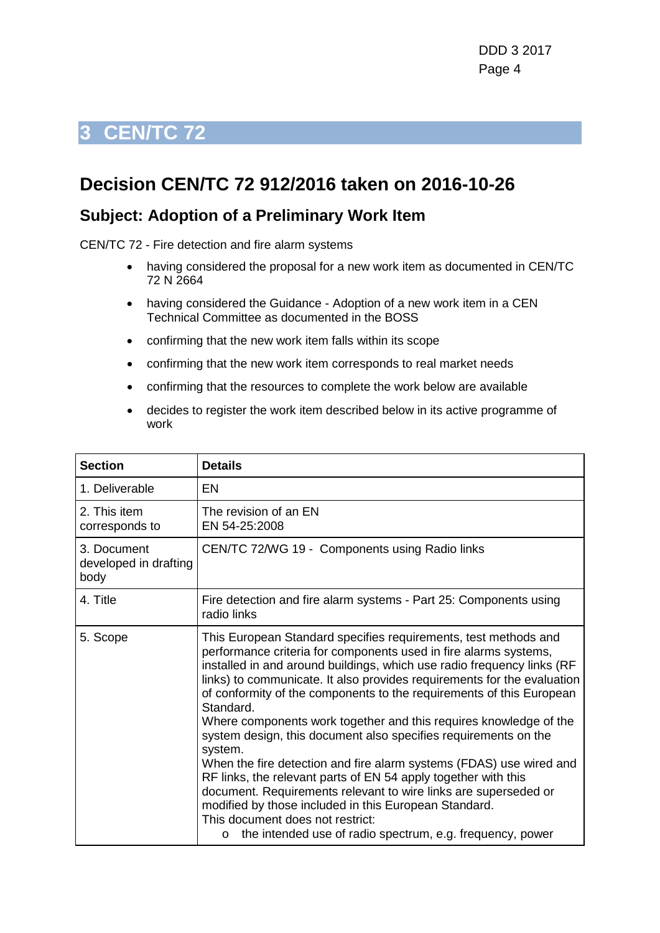### <span id="page-3-0"></span>**Decision CEN/TC 72 912/2016 taken on 2016-10-26**

### **Subject: Adoption of a Preliminary Work Item**

CEN/TC 72 - Fire detection and fire alarm systems

- having considered the proposal for a new work item as documented in CEN/TC 72 N 2664
- having considered the Guidance Adoption of a new work item in a CEN Technical Committee as documented in the BOSS
- confirming that the new work item falls within its scope
- confirming that the new work item corresponds to real market needs
- confirming that the resources to complete the work below are available
- decides to register the work item described below in its active programme of work

| <b>Section</b>                               | <b>Details</b>                                                                                                                                                                                                                                                                                                                                                                                                                                                                                                        |
|----------------------------------------------|-----------------------------------------------------------------------------------------------------------------------------------------------------------------------------------------------------------------------------------------------------------------------------------------------------------------------------------------------------------------------------------------------------------------------------------------------------------------------------------------------------------------------|
| 1. Deliverable                               | EN                                                                                                                                                                                                                                                                                                                                                                                                                                                                                                                    |
| 2. This item<br>corresponds to               | The revision of an EN<br>EN 54-25:2008                                                                                                                                                                                                                                                                                                                                                                                                                                                                                |
| 3. Document<br>developed in drafting<br>body | CEN/TC 72/WG 19 - Components using Radio links                                                                                                                                                                                                                                                                                                                                                                                                                                                                        |
| 4. Title                                     | Fire detection and fire alarm systems - Part 25: Components using<br>radio links                                                                                                                                                                                                                                                                                                                                                                                                                                      |
| 5. Scope                                     | This European Standard specifies requirements, test methods and<br>performance criteria for components used in fire alarms systems,<br>installed in and around buildings, which use radio frequency links (RF<br>links) to communicate. It also provides requirements for the evaluation<br>of conformity of the components to the requirements of this European<br>Standard.<br>Where components work together and this requires knowledge of the<br>system design, this document also specifies requirements on the |
|                                              | system.<br>When the fire detection and fire alarm systems (FDAS) use wired and<br>RF links, the relevant parts of EN 54 apply together with this<br>document. Requirements relevant to wire links are superseded or<br>modified by those included in this European Standard.<br>This document does not restrict:<br>the intended use of radio spectrum, e.g. frequency, power<br>$\circ$                                                                                                                              |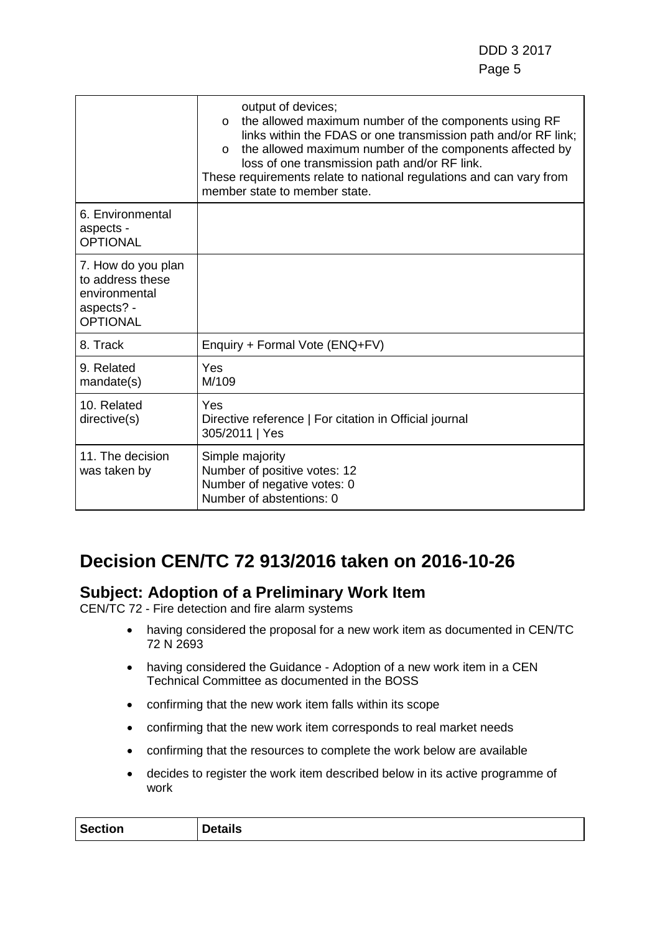|                                                                                          | output of devices;<br>the allowed maximum number of the components using RF<br>$\circ$<br>links within the FDAS or one transmission path and/or RF link;<br>the allowed maximum number of the components affected by<br>$\circ$<br>loss of one transmission path and/or RF link.<br>These requirements relate to national regulations and can vary from<br>member state to member state. |
|------------------------------------------------------------------------------------------|------------------------------------------------------------------------------------------------------------------------------------------------------------------------------------------------------------------------------------------------------------------------------------------------------------------------------------------------------------------------------------------|
| 6. Environmental<br>aspects -<br><b>OPTIONAL</b>                                         |                                                                                                                                                                                                                                                                                                                                                                                          |
| 7. How do you plan<br>to address these<br>environmental<br>aspects? -<br><b>OPTIONAL</b> |                                                                                                                                                                                                                                                                                                                                                                                          |
| 8. Track                                                                                 | Enquiry + Formal Vote (ENQ+FV)                                                                                                                                                                                                                                                                                                                                                           |
| 9. Related<br>mandate(s)                                                                 | Yes<br>M/109                                                                                                                                                                                                                                                                                                                                                                             |
| 10. Related<br>directive(s)                                                              | Yes<br>Directive reference   For citation in Official journal<br>305/2011   Yes                                                                                                                                                                                                                                                                                                          |
| 11. The decision<br>was taken by                                                         | Simple majority<br>Number of positive votes: 12<br>Number of negative votes: 0<br>Number of abstentions: 0                                                                                                                                                                                                                                                                               |

## **Decision CEN/TC 72 913/2016 taken on 2016-10-26**

### **Subject: Adoption of a Preliminary Work Item**

CEN/TC 72 - Fire detection and fire alarm systems

- having considered the proposal for a new work item as documented in CEN/TC 72 N 2693
- having considered the Guidance Adoption of a new work item in a CEN Technical Committee as documented in the BOSS
- confirming that the new work item falls within its scope
- confirming that the new work item corresponds to real market needs
- confirming that the resources to complete the work below are available
- decides to register the work item described below in its active programme of work

| <b>Section</b><br><b>Details</b> |
|----------------------------------|
|----------------------------------|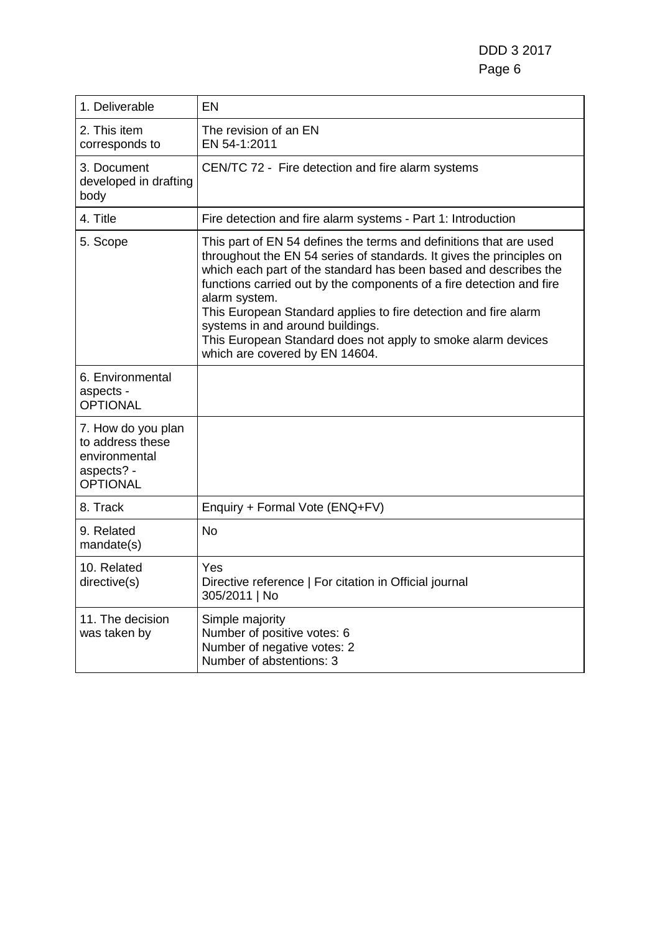| 1. Deliverable                                                                           | EN                                                                                                                                                                                                                                                                                                                                                                                                                                                                                                               |
|------------------------------------------------------------------------------------------|------------------------------------------------------------------------------------------------------------------------------------------------------------------------------------------------------------------------------------------------------------------------------------------------------------------------------------------------------------------------------------------------------------------------------------------------------------------------------------------------------------------|
| 2. This item<br>corresponds to                                                           | The revision of an EN<br>EN 54-1:2011                                                                                                                                                                                                                                                                                                                                                                                                                                                                            |
| 3. Document<br>developed in drafting<br>body                                             | CEN/TC 72 - Fire detection and fire alarm systems                                                                                                                                                                                                                                                                                                                                                                                                                                                                |
| 4. Title                                                                                 | Fire detection and fire alarm systems - Part 1: Introduction                                                                                                                                                                                                                                                                                                                                                                                                                                                     |
| 5. Scope                                                                                 | This part of EN 54 defines the terms and definitions that are used<br>throughout the EN 54 series of standards. It gives the principles on<br>which each part of the standard has been based and describes the<br>functions carried out by the components of a fire detection and fire<br>alarm system.<br>This European Standard applies to fire detection and fire alarm<br>systems in and around buildings.<br>This European Standard does not apply to smoke alarm devices<br>which are covered by EN 14604. |
| 6. Environmental<br>aspects -<br><b>OPTIONAL</b>                                         |                                                                                                                                                                                                                                                                                                                                                                                                                                                                                                                  |
| 7. How do you plan<br>to address these<br>environmental<br>aspects? -<br><b>OPTIONAL</b> |                                                                                                                                                                                                                                                                                                                                                                                                                                                                                                                  |
| 8. Track                                                                                 | Enquiry + Formal Vote (ENQ+FV)                                                                                                                                                                                                                                                                                                                                                                                                                                                                                   |
| 9. Related<br>mandate(s)                                                                 | <b>No</b>                                                                                                                                                                                                                                                                                                                                                                                                                                                                                                        |
| 10. Related<br>directive(s)                                                              | Yes<br>Directive reference   For citation in Official journal<br>305/2011   No                                                                                                                                                                                                                                                                                                                                                                                                                                   |
| 11. The decision<br>was taken by                                                         | Simple majority<br>Number of positive votes: 6<br>Number of negative votes: 2<br>Number of abstentions: 3                                                                                                                                                                                                                                                                                                                                                                                                        |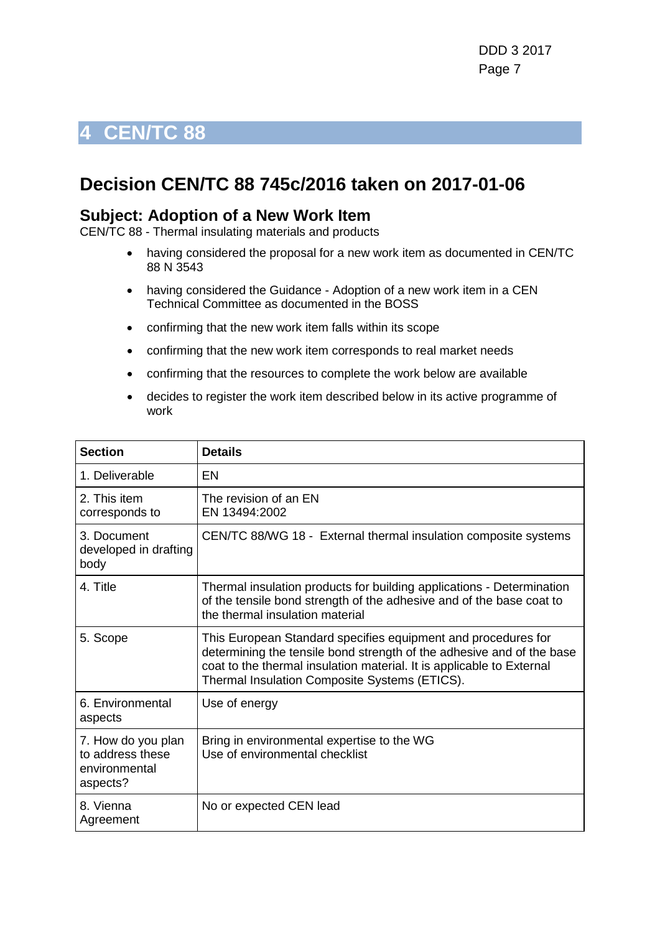### <span id="page-6-0"></span>**Decision CEN/TC 88 745c/2016 taken on 2017-01-06**

#### **Subject: Adoption of a New Work Item**

CEN/TC 88 - Thermal insulating materials and products

- having considered the proposal for a new work item as documented in CEN/TC 88 N 3543
- having considered the Guidance Adoption of a new work item in a CEN Technical Committee as documented in the BOSS
- confirming that the new work item falls within its scope
- confirming that the new work item corresponds to real market needs
- confirming that the resources to complete the work below are available
- decides to register the work item described below in its active programme of work

| <b>Section</b>                                                      | <b>Details</b>                                                                                                                                                                                                                                                   |
|---------------------------------------------------------------------|------------------------------------------------------------------------------------------------------------------------------------------------------------------------------------------------------------------------------------------------------------------|
| 1. Deliverable                                                      | EN                                                                                                                                                                                                                                                               |
| 2. This item<br>corresponds to                                      | The revision of an EN<br>EN 13494:2002                                                                                                                                                                                                                           |
| 3. Document<br>developed in drafting<br>body                        | CEN/TC 88/WG 18 - External thermal insulation composite systems                                                                                                                                                                                                  |
| 4. Title                                                            | Thermal insulation products for building applications - Determination<br>of the tensile bond strength of the adhesive and of the base coat to<br>the thermal insulation material                                                                                 |
| 5. Scope                                                            | This European Standard specifies equipment and procedures for<br>determining the tensile bond strength of the adhesive and of the base<br>coat to the thermal insulation material. It is applicable to External<br>Thermal Insulation Composite Systems (ETICS). |
| 6. Environmental<br>aspects                                         | Use of energy                                                                                                                                                                                                                                                    |
| 7. How do you plan<br>to address these<br>environmental<br>aspects? | Bring in environmental expertise to the WG<br>Use of environmental checklist                                                                                                                                                                                     |
| 8. Vienna<br>Agreement                                              | No or expected CEN lead                                                                                                                                                                                                                                          |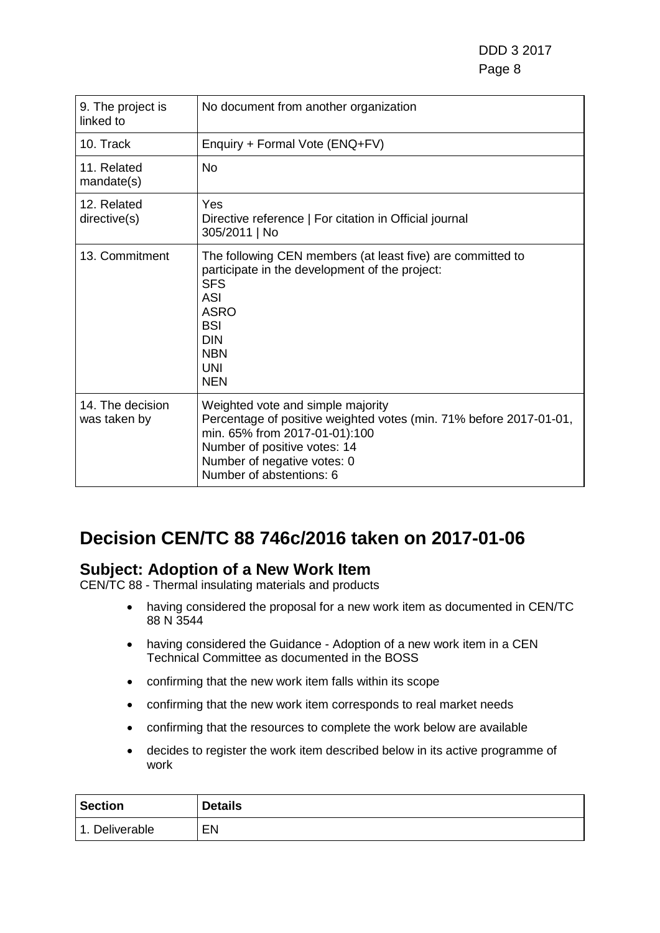DDD 3 2017 Page 8 and the state of the state of the state of the state  $\sim$  Page 8 and the state of the state  $\sim$ 

| 9. The project is<br>linked to   | No document from another organization                                                                                                                                                                                               |
|----------------------------------|-------------------------------------------------------------------------------------------------------------------------------------------------------------------------------------------------------------------------------------|
| 10. Track                        | Enquiry + Formal Vote (ENQ+FV)                                                                                                                                                                                                      |
| 11. Related<br>mandate(s)        | <b>No</b>                                                                                                                                                                                                                           |
| 12. Related<br>directive(s)      | Yes<br>Directive reference   For citation in Official journal<br>305/2011   No                                                                                                                                                      |
| 13. Commitment                   | The following CEN members (at least five) are committed to<br>participate in the development of the project:<br><b>SFS</b><br><b>ASI</b><br><b>ASRO</b><br><b>BSI</b><br><b>DIN</b><br><b>NBN</b><br><b>UNI</b><br><b>NEN</b>       |
| 14. The decision<br>was taken by | Weighted vote and simple majority<br>Percentage of positive weighted votes (min. 71% before 2017-01-01,<br>min. 65% from 2017-01-01):100<br>Number of positive votes: 14<br>Number of negative votes: 0<br>Number of abstentions: 6 |

## **Decision CEN/TC 88 746c/2016 taken on 2017-01-06**

### **Subject: Adoption of a New Work Item**

CEN/TC 88 - Thermal insulating materials and products

- having considered the proposal for a new work item as documented in CEN/TC 88 N 3544
- having considered the Guidance Adoption of a new work item in a CEN Technical Committee as documented in the BOSS
- confirming that the new work item falls within its scope
- confirming that the new work item corresponds to real market needs
- confirming that the resources to complete the work below are available
- decides to register the work item described below in its active programme of work

| <b>Section</b> | <b>Details</b> |
|----------------|----------------|
| 1. Deliverable | EN             |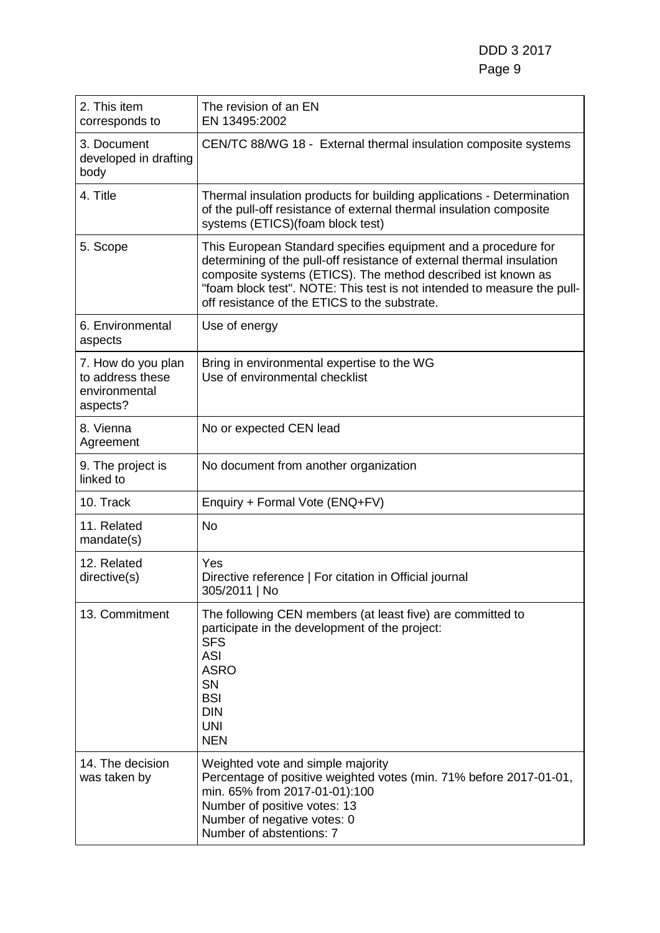DDD 3 2017 Page 9

| 2. This item<br>corresponds to                                      | The revision of an EN<br>EN 13495:2002                                                                                                                                                                                                                                                                                              |
|---------------------------------------------------------------------|-------------------------------------------------------------------------------------------------------------------------------------------------------------------------------------------------------------------------------------------------------------------------------------------------------------------------------------|
| 3. Document<br>developed in drafting<br>body                        | CEN/TC 88/WG 18 - External thermal insulation composite systems                                                                                                                                                                                                                                                                     |
| 4. Title                                                            | Thermal insulation products for building applications - Determination<br>of the pull-off resistance of external thermal insulation composite<br>systems (ETICS)(foam block test)                                                                                                                                                    |
| 5. Scope                                                            | This European Standard specifies equipment and a procedure for<br>determining of the pull-off resistance of external thermal insulation<br>composite systems (ETICS). The method described ist known as<br>"foam block test". NOTE: This test is not intended to measure the pull-<br>off resistance of the ETICS to the substrate. |
| 6. Environmental<br>aspects                                         | Use of energy                                                                                                                                                                                                                                                                                                                       |
| 7. How do you plan<br>to address these<br>environmental<br>aspects? | Bring in environmental expertise to the WG<br>Use of environmental checklist                                                                                                                                                                                                                                                        |
| 8. Vienna<br>Agreement                                              | No or expected CEN lead                                                                                                                                                                                                                                                                                                             |
| 9. The project is<br>linked to                                      | No document from another organization                                                                                                                                                                                                                                                                                               |
| 10. Track                                                           | Enquiry + Formal Vote (ENQ+FV)                                                                                                                                                                                                                                                                                                      |
| 11. Related<br>mandate(s)                                           | <b>No</b>                                                                                                                                                                                                                                                                                                                           |
| 12. Related<br>directive(s)                                         | Yes<br>Directive reference   For citation in Official journal<br>305/2011   No                                                                                                                                                                                                                                                      |
| 13. Commitment                                                      | The following CEN members (at least five) are committed to<br>participate in the development of the project:<br><b>SFS</b><br><b>ASI</b><br><b>ASRO</b><br>SN<br><b>BSI</b><br><b>DIN</b><br><b>UNI</b><br><b>NEN</b>                                                                                                               |
| 14. The decision<br>was taken by                                    | Weighted vote and simple majority<br>Percentage of positive weighted votes (min. 71% before 2017-01-01,<br>min. 65% from 2017-01-01):100<br>Number of positive votes: 13<br>Number of negative votes: 0<br>Number of abstentions: 7                                                                                                 |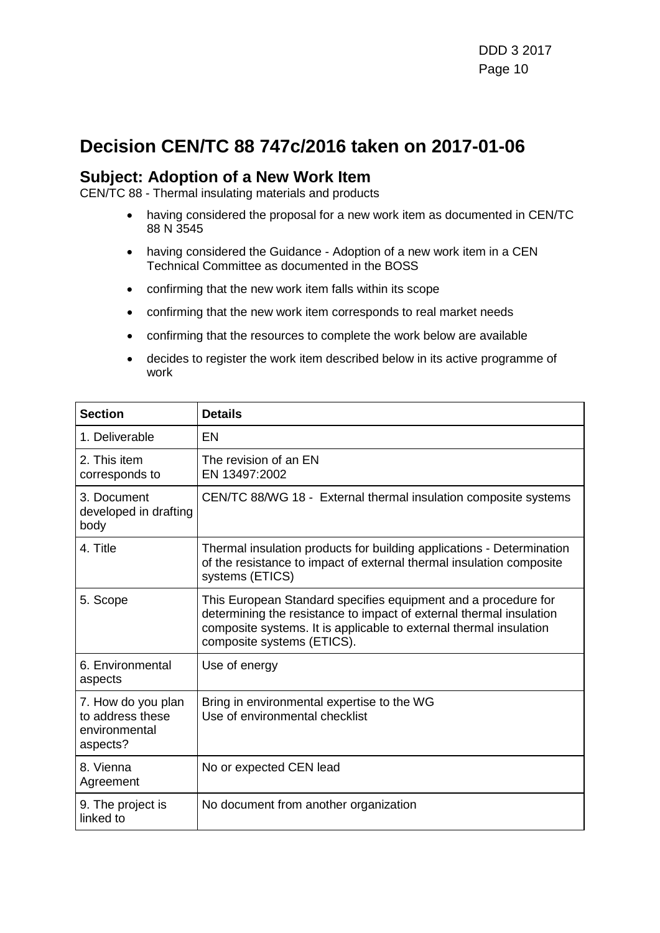### **Decision CEN/TC 88 747c/2016 taken on 2017-01-06**

#### **Subject: Adoption of a New Work Item**

CEN/TC 88 - Thermal insulating materials and products

- having considered the proposal for a new work item as documented in CEN/TC 88 N 3545
- having considered the Guidance Adoption of a new work item in a CEN Technical Committee as documented in the BOSS
- confirming that the new work item falls within its scope
- confirming that the new work item corresponds to real market needs
- confirming that the resources to complete the work below are available
- decides to register the work item described below in its active programme of work

| <b>Section</b>                                                      | <b>Details</b>                                                                                                                                                                                                                            |
|---------------------------------------------------------------------|-------------------------------------------------------------------------------------------------------------------------------------------------------------------------------------------------------------------------------------------|
| 1. Deliverable                                                      | EN                                                                                                                                                                                                                                        |
| 2. This item<br>corresponds to                                      | The revision of an EN<br>EN 13497:2002                                                                                                                                                                                                    |
| 3. Document<br>developed in drafting<br>body                        | CEN/TC 88/WG 18 - External thermal insulation composite systems                                                                                                                                                                           |
| 4. Title                                                            | Thermal insulation products for building applications - Determination<br>of the resistance to impact of external thermal insulation composite<br>systems (ETICS)                                                                          |
| 5. Scope                                                            | This European Standard specifies equipment and a procedure for<br>determining the resistance to impact of external thermal insulation<br>composite systems. It is applicable to external thermal insulation<br>composite systems (ETICS). |
| 6. Environmental<br>aspects                                         | Use of energy                                                                                                                                                                                                                             |
| 7. How do you plan<br>to address these<br>environmental<br>aspects? | Bring in environmental expertise to the WG<br>Use of environmental checklist                                                                                                                                                              |
| 8. Vienna<br>Agreement                                              | No or expected CEN lead                                                                                                                                                                                                                   |
| 9. The project is<br>linked to                                      | No document from another organization                                                                                                                                                                                                     |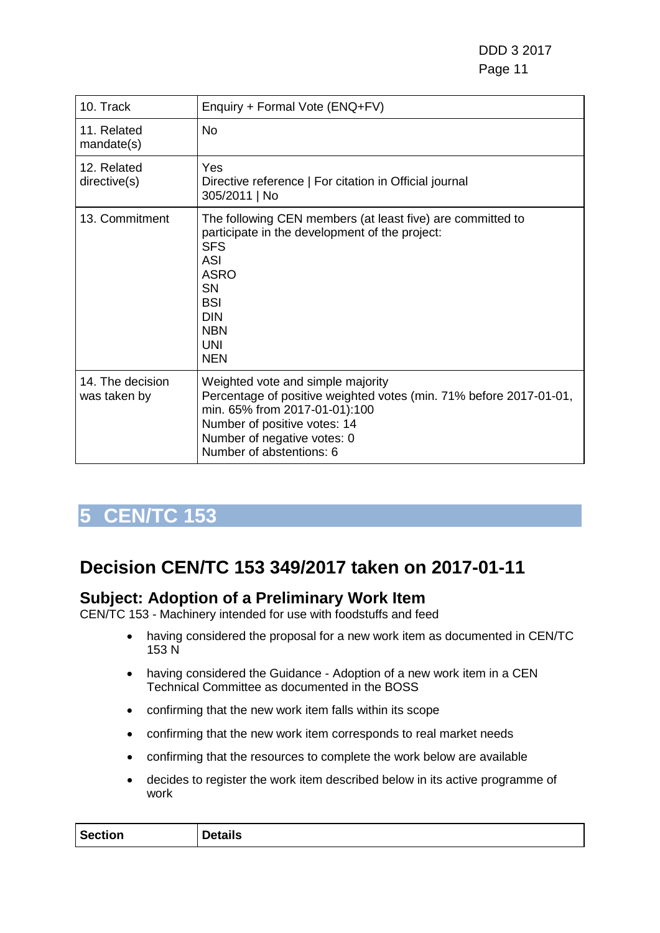DDD 3 2017 er de la construction de la construction de la construction de la construction de la construction de la constr

| 10. Track                        | Enquiry + Formal Vote (ENQ+FV)                                                                                                                                                                                                             |
|----------------------------------|--------------------------------------------------------------------------------------------------------------------------------------------------------------------------------------------------------------------------------------------|
| 11. Related<br>mandate(s)        | <b>No</b>                                                                                                                                                                                                                                  |
| 12. Related<br>directive(s)      | Yes<br>Directive reference   For citation in Official journal<br>305/2011   No                                                                                                                                                             |
| 13. Commitment                   | The following CEN members (at least five) are committed to<br>participate in the development of the project:<br><b>SFS</b><br><b>ASI</b><br><b>ASRO</b><br><b>SN</b><br><b>BSI</b><br><b>DIN</b><br><b>NBN</b><br><b>UNI</b><br><b>NEN</b> |
| 14. The decision<br>was taken by | Weighted vote and simple majority<br>Percentage of positive weighted votes (min. 71% before 2017-01-01,<br>min. 65% from 2017-01-01):100<br>Number of positive votes: 14<br>Number of negative votes: 0<br>Number of abstentions: 6        |

## <span id="page-10-0"></span>**5 CEN/TC 153**

## **Decision CEN/TC 153 349/2017 taken on 2017-01-11**

### **Subject: Adoption of a Preliminary Work Item**

CEN/TC 153 - Machinery intended for use with foodstuffs and feed

- having considered the proposal for a new work item as documented in CEN/TC 153 N
- having considered the Guidance Adoption of a new work item in a CEN Technical Committee as documented in the BOSS
- confirming that the new work item falls within its scope
- confirming that the new work item corresponds to real market needs
- confirming that the resources to complete the work below are available
- decides to register the work item described below in its active programme of work

| <b>Section</b> | <b>Details</b> |
|----------------|----------------|
|                |                |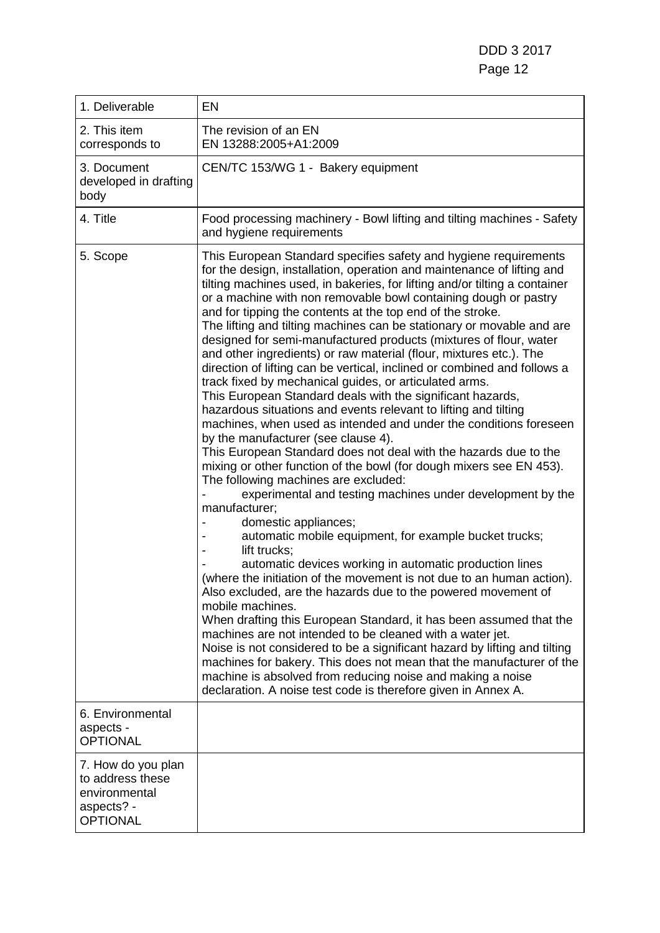| 1. Deliverable                                                                           | EN                                                                                                                                                                                                                                                                                                                                                                                                                                                                                                                                                                                                                                                                                                                                                                                                                                                                                                                                                                                                                                                                                                                                                                                                                                                                                                                                                                                                                                                                                                                                                                                                                                                                                                                                                                                                                                                                                                                                                                                   |
|------------------------------------------------------------------------------------------|--------------------------------------------------------------------------------------------------------------------------------------------------------------------------------------------------------------------------------------------------------------------------------------------------------------------------------------------------------------------------------------------------------------------------------------------------------------------------------------------------------------------------------------------------------------------------------------------------------------------------------------------------------------------------------------------------------------------------------------------------------------------------------------------------------------------------------------------------------------------------------------------------------------------------------------------------------------------------------------------------------------------------------------------------------------------------------------------------------------------------------------------------------------------------------------------------------------------------------------------------------------------------------------------------------------------------------------------------------------------------------------------------------------------------------------------------------------------------------------------------------------------------------------------------------------------------------------------------------------------------------------------------------------------------------------------------------------------------------------------------------------------------------------------------------------------------------------------------------------------------------------------------------------------------------------------------------------------------------------|
| 2. This item<br>corresponds to                                                           | The revision of an EN<br>EN 13288:2005+A1:2009                                                                                                                                                                                                                                                                                                                                                                                                                                                                                                                                                                                                                                                                                                                                                                                                                                                                                                                                                                                                                                                                                                                                                                                                                                                                                                                                                                                                                                                                                                                                                                                                                                                                                                                                                                                                                                                                                                                                       |
| 3. Document<br>developed in drafting<br>body                                             | CEN/TC 153/WG 1 - Bakery equipment                                                                                                                                                                                                                                                                                                                                                                                                                                                                                                                                                                                                                                                                                                                                                                                                                                                                                                                                                                                                                                                                                                                                                                                                                                                                                                                                                                                                                                                                                                                                                                                                                                                                                                                                                                                                                                                                                                                                                   |
| 4. Title                                                                                 | Food processing machinery - Bowl lifting and tilting machines - Safety<br>and hygiene requirements                                                                                                                                                                                                                                                                                                                                                                                                                                                                                                                                                                                                                                                                                                                                                                                                                                                                                                                                                                                                                                                                                                                                                                                                                                                                                                                                                                                                                                                                                                                                                                                                                                                                                                                                                                                                                                                                                   |
| 5. Scope                                                                                 | This European Standard specifies safety and hygiene requirements<br>for the design, installation, operation and maintenance of lifting and<br>tilting machines used, in bakeries, for lifting and/or tilting a container<br>or a machine with non removable bowl containing dough or pastry<br>and for tipping the contents at the top end of the stroke.<br>The lifting and tilting machines can be stationary or movable and are<br>designed for semi-manufactured products (mixtures of flour, water<br>and other ingredients) or raw material (flour, mixtures etc.). The<br>direction of lifting can be vertical, inclined or combined and follows a<br>track fixed by mechanical guides, or articulated arms.<br>This European Standard deals with the significant hazards,<br>hazardous situations and events relevant to lifting and tilting<br>machines, when used as intended and under the conditions foreseen<br>by the manufacturer (see clause 4).<br>This European Standard does not deal with the hazards due to the<br>mixing or other function of the bowl (for dough mixers see EN 453).<br>The following machines are excluded:<br>experimental and testing machines under development by the<br>manufacturer;<br>domestic appliances;<br>automatic mobile equipment, for example bucket trucks;<br>lift trucks;<br>automatic devices working in automatic production lines<br>(where the initiation of the movement is not due to an human action).<br>Also excluded, are the hazards due to the powered movement of<br>mobile machines.<br>When drafting this European Standard, it has been assumed that the<br>machines are not intended to be cleaned with a water jet.<br>Noise is not considered to be a significant hazard by lifting and tilting<br>machines for bakery. This does not mean that the manufacturer of the<br>machine is absolved from reducing noise and making a noise<br>declaration. A noise test code is therefore given in Annex A. |
| 6. Environmental<br>aspects -<br><b>OPTIONAL</b>                                         |                                                                                                                                                                                                                                                                                                                                                                                                                                                                                                                                                                                                                                                                                                                                                                                                                                                                                                                                                                                                                                                                                                                                                                                                                                                                                                                                                                                                                                                                                                                                                                                                                                                                                                                                                                                                                                                                                                                                                                                      |
| 7. How do you plan<br>to address these<br>environmental<br>aspects? -<br><b>OPTIONAL</b> |                                                                                                                                                                                                                                                                                                                                                                                                                                                                                                                                                                                                                                                                                                                                                                                                                                                                                                                                                                                                                                                                                                                                                                                                                                                                                                                                                                                                                                                                                                                                                                                                                                                                                                                                                                                                                                                                                                                                                                                      |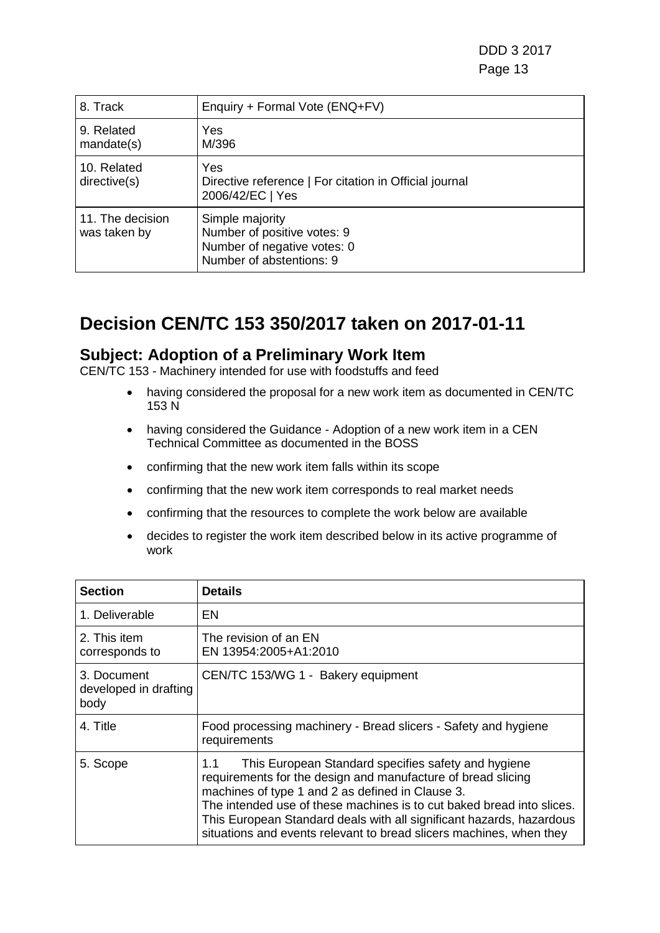DDD 3 2017 en de la construction de la construction de la construction de la construction de la construction de la constr

| 8. Track                         | Enquiry + Formal Vote (ENQ+FV)                                                                            |
|----------------------------------|-----------------------------------------------------------------------------------------------------------|
| 9. Related<br>mandate(s)         | Yes<br>M/396                                                                                              |
| 10. Related<br>directive(s)      | Yes<br>Directive reference   For citation in Official journal<br>2006/42/EC   Yes                         |
| 11. The decision<br>was taken by | Simple majority<br>Number of positive votes: 9<br>Number of negative votes: 0<br>Number of abstentions: 9 |

### **Decision CEN/TC 153 350/2017 taken on 2017-01-11**

#### **Subject: Adoption of a Preliminary Work Item**

CEN/TC 153 - Machinery intended for use with foodstuffs and feed

- having considered the proposal for a new work item as documented in CEN/TC 153 N
- having considered the Guidance Adoption of a new work item in a CEN Technical Committee as documented in the BOSS
- confirming that the new work item falls within its scope
- confirming that the new work item corresponds to real market needs
- confirming that the resources to complete the work below are available
- decides to register the work item described below in its active programme of work

| Section                                      | <b>Details</b>                                                                                                                                                                                                                                                                                                                                                                                         |
|----------------------------------------------|--------------------------------------------------------------------------------------------------------------------------------------------------------------------------------------------------------------------------------------------------------------------------------------------------------------------------------------------------------------------------------------------------------|
| 1. Deliverable                               | EN                                                                                                                                                                                                                                                                                                                                                                                                     |
| 2. This item<br>corresponds to               | The revision of an EN<br>EN 13954:2005+A1:2010                                                                                                                                                                                                                                                                                                                                                         |
| 3. Document<br>developed in drafting<br>body | CEN/TC 153/WG 1 - Bakery equipment                                                                                                                                                                                                                                                                                                                                                                     |
| 4. Title                                     | Food processing machinery - Bread slicers - Safety and hygiene<br>requirements                                                                                                                                                                                                                                                                                                                         |
| 5. Scope                                     | This European Standard specifies safety and hygiene<br>1.1<br>requirements for the design and manufacture of bread slicing<br>machines of type 1 and 2 as defined in Clause 3.<br>The intended use of these machines is to cut baked bread into slices.<br>This European Standard deals with all significant hazards, hazardous<br>situations and events relevant to bread slicers machines, when they |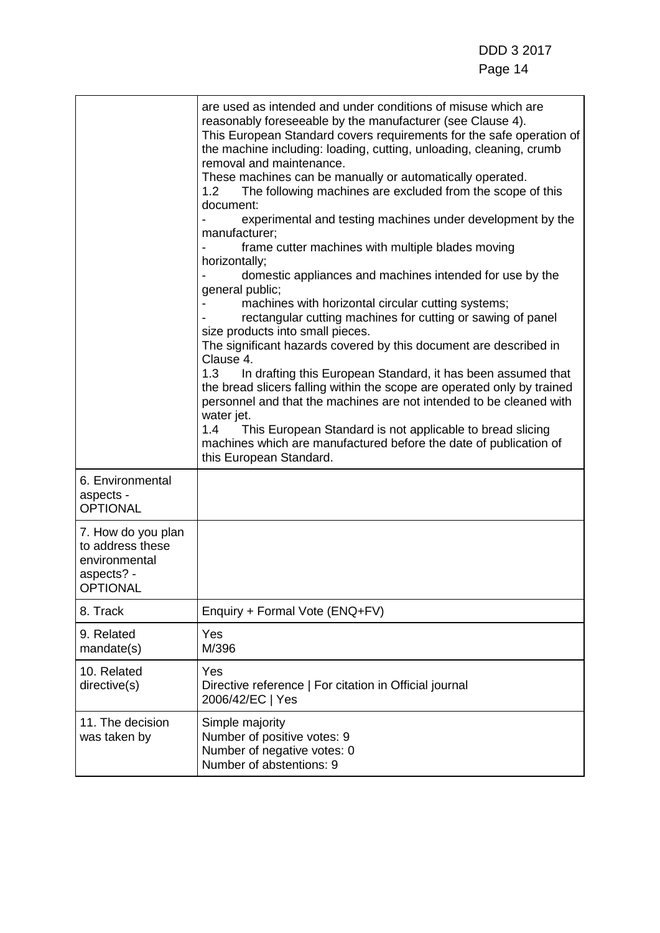|                                                                                          | are used as intended and under conditions of misuse which are<br>reasonably foreseeable by the manufacturer (see Clause 4).<br>This European Standard covers requirements for the safe operation of<br>the machine including: loading, cutting, unloading, cleaning, crumb<br>removal and maintenance.<br>These machines can be manually or automatically operated.<br>The following machines are excluded from the scope of this<br>1.2<br>document:<br>experimental and testing machines under development by the<br>manufacturer;<br>frame cutter machines with multiple blades moving<br>horizontally;<br>domestic appliances and machines intended for use by the<br>general public;<br>machines with horizontal circular cutting systems;<br>rectangular cutting machines for cutting or sawing of panel<br>size products into small pieces.<br>The significant hazards covered by this document are described in<br>Clause 4.<br>1.3<br>In drafting this European Standard, it has been assumed that<br>the bread slicers falling within the scope are operated only by trained<br>personnel and that the machines are not intended to be cleaned with<br>water jet.<br>1.4<br>This European Standard is not applicable to bread slicing<br>machines which are manufactured before the date of publication of<br>this European Standard. |
|------------------------------------------------------------------------------------------|-------------------------------------------------------------------------------------------------------------------------------------------------------------------------------------------------------------------------------------------------------------------------------------------------------------------------------------------------------------------------------------------------------------------------------------------------------------------------------------------------------------------------------------------------------------------------------------------------------------------------------------------------------------------------------------------------------------------------------------------------------------------------------------------------------------------------------------------------------------------------------------------------------------------------------------------------------------------------------------------------------------------------------------------------------------------------------------------------------------------------------------------------------------------------------------------------------------------------------------------------------------------------------------------------------------------------------------------------|
| 6. Environmental<br>aspects -<br><b>OPTIONAL</b>                                         |                                                                                                                                                                                                                                                                                                                                                                                                                                                                                                                                                                                                                                                                                                                                                                                                                                                                                                                                                                                                                                                                                                                                                                                                                                                                                                                                                 |
| 7. How do you plan<br>to address these<br>environmental<br>aspects? -<br><b>OPTIONAL</b> |                                                                                                                                                                                                                                                                                                                                                                                                                                                                                                                                                                                                                                                                                                                                                                                                                                                                                                                                                                                                                                                                                                                                                                                                                                                                                                                                                 |
| 8. Track                                                                                 | Enquiry + Formal Vote (ENQ+FV)                                                                                                                                                                                                                                                                                                                                                                                                                                                                                                                                                                                                                                                                                                                                                                                                                                                                                                                                                                                                                                                                                                                                                                                                                                                                                                                  |
| 9. Related<br>mandate(s)                                                                 | Yes<br>M/396                                                                                                                                                                                                                                                                                                                                                                                                                                                                                                                                                                                                                                                                                                                                                                                                                                                                                                                                                                                                                                                                                                                                                                                                                                                                                                                                    |
| 10. Related<br>directive(s)                                                              | Yes<br>Directive reference   For citation in Official journal<br>2006/42/EC   Yes                                                                                                                                                                                                                                                                                                                                                                                                                                                                                                                                                                                                                                                                                                                                                                                                                                                                                                                                                                                                                                                                                                                                                                                                                                                               |
| 11. The decision<br>was taken by                                                         | Simple majority<br>Number of positive votes: 9<br>Number of negative votes: 0<br>Number of abstentions: 9                                                                                                                                                                                                                                                                                                                                                                                                                                                                                                                                                                                                                                                                                                                                                                                                                                                                                                                                                                                                                                                                                                                                                                                                                                       |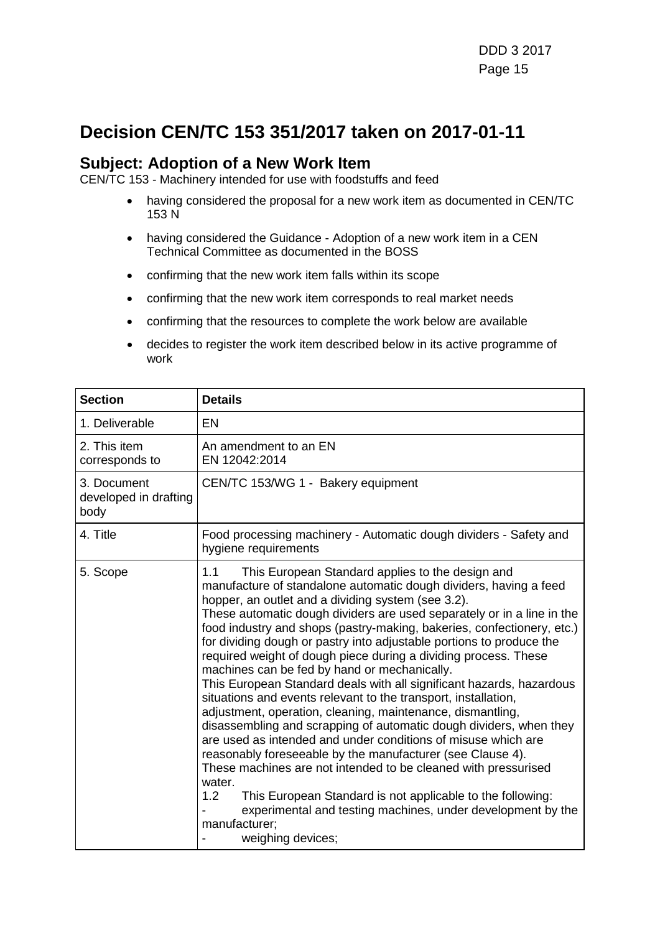## **Decision CEN/TC 153 351/2017 taken on 2017-01-11**

#### **Subject: Adoption of a New Work Item**

CEN/TC 153 - Machinery intended for use with foodstuffs and feed

- having considered the proposal for a new work item as documented in CEN/TC 153 N
- having considered the Guidance Adoption of a new work item in a CEN Technical Committee as documented in the BOSS
- confirming that the new work item falls within its scope
- confirming that the new work item corresponds to real market needs
- confirming that the resources to complete the work below are available
- decides to register the work item described below in its active programme of work

| <b>Section</b>                               | <b>Details</b>                                                                                                                                                                                                                                                                                                                                                                                                                                                                                                                                                                                                                                                                                                                                                                                                                                                                                                                                                                                                                                                                                                                                                                                       |
|----------------------------------------------|------------------------------------------------------------------------------------------------------------------------------------------------------------------------------------------------------------------------------------------------------------------------------------------------------------------------------------------------------------------------------------------------------------------------------------------------------------------------------------------------------------------------------------------------------------------------------------------------------------------------------------------------------------------------------------------------------------------------------------------------------------------------------------------------------------------------------------------------------------------------------------------------------------------------------------------------------------------------------------------------------------------------------------------------------------------------------------------------------------------------------------------------------------------------------------------------------|
| 1. Deliverable                               | EN                                                                                                                                                                                                                                                                                                                                                                                                                                                                                                                                                                                                                                                                                                                                                                                                                                                                                                                                                                                                                                                                                                                                                                                                   |
| 2. This item<br>corresponds to               | An amendment to an EN<br>EN 12042:2014                                                                                                                                                                                                                                                                                                                                                                                                                                                                                                                                                                                                                                                                                                                                                                                                                                                                                                                                                                                                                                                                                                                                                               |
| 3. Document<br>developed in drafting<br>body | CEN/TC 153/WG 1 - Bakery equipment                                                                                                                                                                                                                                                                                                                                                                                                                                                                                                                                                                                                                                                                                                                                                                                                                                                                                                                                                                                                                                                                                                                                                                   |
| 4. Title                                     | Food processing machinery - Automatic dough dividers - Safety and<br>hygiene requirements                                                                                                                                                                                                                                                                                                                                                                                                                                                                                                                                                                                                                                                                                                                                                                                                                                                                                                                                                                                                                                                                                                            |
| 5. Scope                                     | This European Standard applies to the design and<br>1.1<br>manufacture of standalone automatic dough dividers, having a feed<br>hopper, an outlet and a dividing system (see 3.2).<br>These automatic dough dividers are used separately or in a line in the<br>food industry and shops (pastry-making, bakeries, confectionery, etc.)<br>for dividing dough or pastry into adjustable portions to produce the<br>required weight of dough piece during a dividing process. These<br>machines can be fed by hand or mechanically.<br>This European Standard deals with all significant hazards, hazardous<br>situations and events relevant to the transport, installation,<br>adjustment, operation, cleaning, maintenance, dismantling,<br>disassembling and scrapping of automatic dough dividers, when they<br>are used as intended and under conditions of misuse which are<br>reasonably foreseeable by the manufacturer (see Clause 4).<br>These machines are not intended to be cleaned with pressurised<br>water.<br>1.2<br>This European Standard is not applicable to the following:<br>experimental and testing machines, under development by the<br>manufacturer:<br>weighing devices; |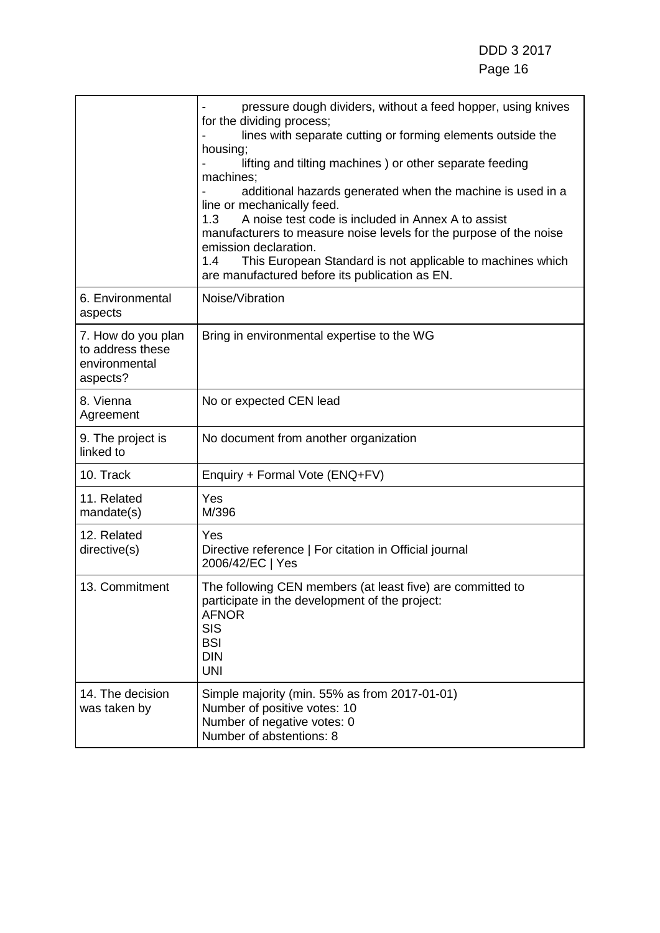|                                                                     | pressure dough dividers, without a feed hopper, using knives<br>for the dividing process;<br>lines with separate cutting or forming elements outside the<br>housing;<br>lifting and tilting machines) or other separate feeding<br>machines;<br>additional hazards generated when the machine is used in a<br>line or mechanically feed.<br>A noise test code is included in Annex A to assist<br>1.3<br>manufacturers to measure noise levels for the purpose of the noise<br>emission declaration.<br>This European Standard is not applicable to machines which<br>1.4<br>are manufactured before its publication as EN. |
|---------------------------------------------------------------------|-----------------------------------------------------------------------------------------------------------------------------------------------------------------------------------------------------------------------------------------------------------------------------------------------------------------------------------------------------------------------------------------------------------------------------------------------------------------------------------------------------------------------------------------------------------------------------------------------------------------------------|
| 6. Environmental<br>aspects                                         | Noise/Vibration                                                                                                                                                                                                                                                                                                                                                                                                                                                                                                                                                                                                             |
| 7. How do you plan<br>to address these<br>environmental<br>aspects? | Bring in environmental expertise to the WG                                                                                                                                                                                                                                                                                                                                                                                                                                                                                                                                                                                  |
| 8. Vienna<br>Agreement                                              | No or expected CEN lead                                                                                                                                                                                                                                                                                                                                                                                                                                                                                                                                                                                                     |
| 9. The project is<br>linked to                                      | No document from another organization                                                                                                                                                                                                                                                                                                                                                                                                                                                                                                                                                                                       |
| 10. Track                                                           | Enquiry + Formal Vote (ENQ+FV)                                                                                                                                                                                                                                                                                                                                                                                                                                                                                                                                                                                              |
| 11. Related<br>mandate(s)                                           | Yes<br>M/396                                                                                                                                                                                                                                                                                                                                                                                                                                                                                                                                                                                                                |
| 12. Related<br>directive(s)                                         | Yes<br>Directive reference   For citation in Official journal<br>2006/42/EC   Yes                                                                                                                                                                                                                                                                                                                                                                                                                                                                                                                                           |
| 13. Commitment                                                      | The following CEN members (at least five) are committed to<br>participate in the development of the project:<br><b>AFNOR</b><br>SIS<br><b>BSI</b><br><b>DIN</b><br><b>UNI</b>                                                                                                                                                                                                                                                                                                                                                                                                                                               |
| 14. The decision<br>was taken by                                    | Simple majority (min. 55% as from 2017-01-01)<br>Number of positive votes: 10<br>Number of negative votes: 0<br>Number of abstentions: 8                                                                                                                                                                                                                                                                                                                                                                                                                                                                                    |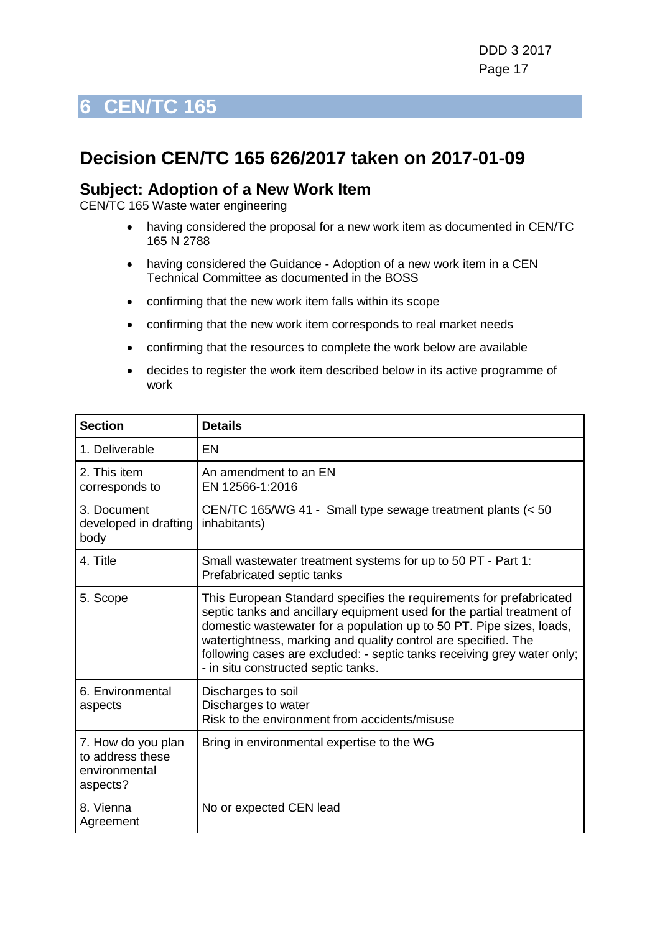### <span id="page-16-0"></span>**Decision CEN/TC 165 626/2017 taken on 2017-01-09**

#### **Subject: Adoption of a New Work Item**

- having considered the proposal for a new work item as documented in CEN/TC 165 N 2788
- having considered the Guidance Adoption of a new work item in a CEN Technical Committee as documented in the BOSS
- confirming that the new work item falls within its scope
- confirming that the new work item corresponds to real market needs
- confirming that the resources to complete the work below are available
- decides to register the work item described below in its active programme of work

| <b>Section</b>                                                      | <b>Details</b>                                                                                                                                                                                                                                                                                                                                                                                            |
|---------------------------------------------------------------------|-----------------------------------------------------------------------------------------------------------------------------------------------------------------------------------------------------------------------------------------------------------------------------------------------------------------------------------------------------------------------------------------------------------|
| 1. Deliverable                                                      | EN                                                                                                                                                                                                                                                                                                                                                                                                        |
| 2. This item<br>corresponds to                                      | An amendment to an EN<br>EN 12566-1:2016                                                                                                                                                                                                                                                                                                                                                                  |
| 3. Document<br>developed in drafting<br>body                        | CEN/TC 165/WG 41 - Small type sewage treatment plants (< 50<br>inhabitants)                                                                                                                                                                                                                                                                                                                               |
| 4. Title                                                            | Small wastewater treatment systems for up to 50 PT - Part 1:<br>Prefabricated septic tanks                                                                                                                                                                                                                                                                                                                |
| 5. Scope                                                            | This European Standard specifies the requirements for prefabricated<br>septic tanks and ancillary equipment used for the partial treatment of<br>domestic wastewater for a population up to 50 PT. Pipe sizes, loads,<br>watertightness, marking and quality control are specified. The<br>following cases are excluded: - septic tanks receiving grey water only;<br>- in situ constructed septic tanks. |
| 6. Environmental<br>aspects                                         | Discharges to soil<br>Discharges to water<br>Risk to the environment from accidents/misuse                                                                                                                                                                                                                                                                                                                |
| 7. How do you plan<br>to address these<br>environmental<br>aspects? | Bring in environmental expertise to the WG                                                                                                                                                                                                                                                                                                                                                                |
| 8. Vienna<br>Agreement                                              | No or expected CEN lead                                                                                                                                                                                                                                                                                                                                                                                   |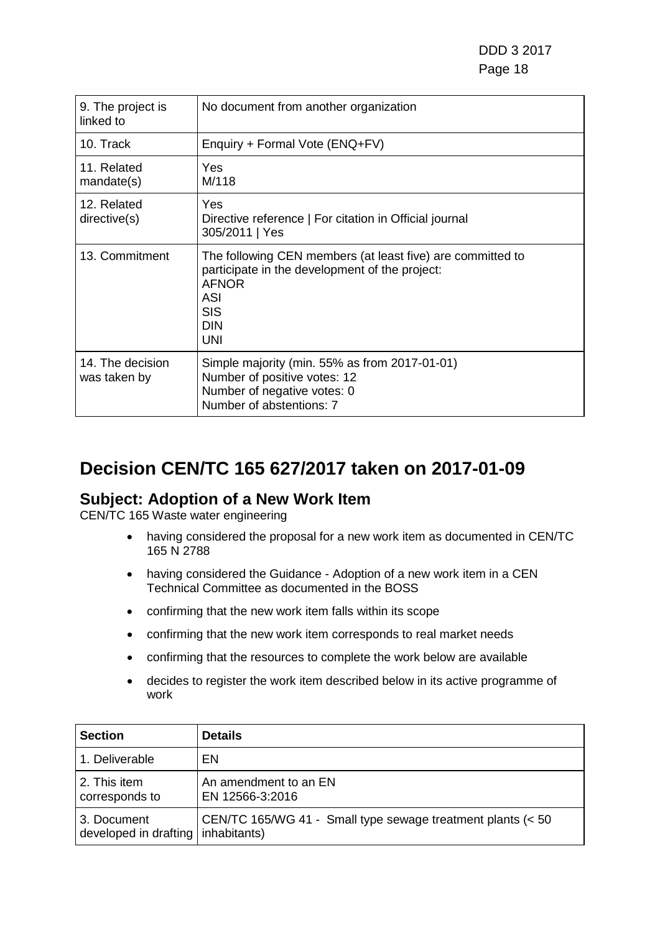DDD 3 2017 Page 18

| 9. The project is<br>linked to   | No document from another organization                                                                                                                                                |
|----------------------------------|--------------------------------------------------------------------------------------------------------------------------------------------------------------------------------------|
| 10. Track                        | Enquiry + Formal Vote (ENQ+FV)                                                                                                                                                       |
| 11. Related<br>mandate(s)        | Yes<br>M/118                                                                                                                                                                         |
| 12. Related<br>directive(s)      | Yes<br>Directive reference   For citation in Official journal<br>305/2011   Yes                                                                                                      |
| 13. Commitment                   | The following CEN members (at least five) are committed to<br>participate in the development of the project:<br><b>AFNOR</b><br><b>ASI</b><br><b>SIS</b><br><b>DIN</b><br><b>UNI</b> |
| 14. The decision<br>was taken by | Simple majority (min. 55% as from 2017-01-01)<br>Number of positive votes: 12<br>Number of negative votes: 0<br>Number of abstentions: 7                                             |

## **Decision CEN/TC 165 627/2017 taken on 2017-01-09**

### **Subject: Adoption of a New Work Item**

- having considered the proposal for a new work item as documented in CEN/TC 165 N 2788
- having considered the Guidance Adoption of a new work item in a CEN Technical Committee as documented in the BOSS
- confirming that the new work item falls within its scope
- confirming that the new work item corresponds to real market needs
- confirming that the resources to complete the work below are available
- decides to register the work item described below in its active programme of work

| <b>Section</b>                                      | <b>Details</b>                                              |
|-----------------------------------------------------|-------------------------------------------------------------|
| 1. Deliverable                                      | EN                                                          |
| 2. This item<br>corresponds to                      | An amendment to an EN<br>EN 12566-3:2016                    |
| 3. Document<br>developed in drafting   inhabitants) | CEN/TC 165/WG 41 - Small type sewage treatment plants (< 50 |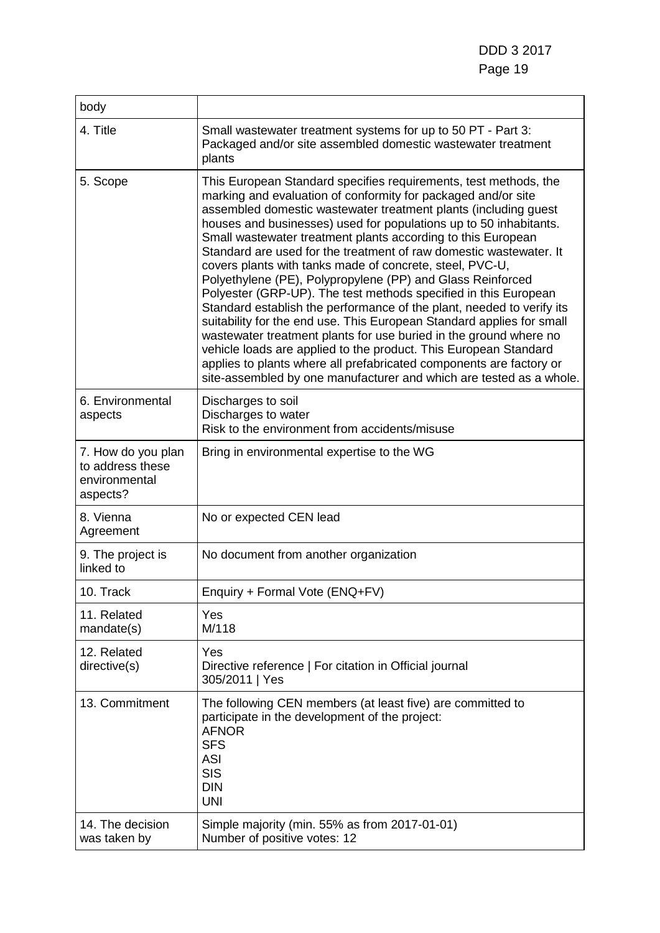DDD 3 2017 Page 19

| body                                                                |                                                                                                                                                                                                                                                                                                                                                                                                                                                                                                                                                                                                                                                                                                                                                                                                                                                                                                                                                                                                                                                       |
|---------------------------------------------------------------------|-------------------------------------------------------------------------------------------------------------------------------------------------------------------------------------------------------------------------------------------------------------------------------------------------------------------------------------------------------------------------------------------------------------------------------------------------------------------------------------------------------------------------------------------------------------------------------------------------------------------------------------------------------------------------------------------------------------------------------------------------------------------------------------------------------------------------------------------------------------------------------------------------------------------------------------------------------------------------------------------------------------------------------------------------------|
| 4. Title                                                            | Small wastewater treatment systems for up to 50 PT - Part 3:<br>Packaged and/or site assembled domestic wastewater treatment<br>plants                                                                                                                                                                                                                                                                                                                                                                                                                                                                                                                                                                                                                                                                                                                                                                                                                                                                                                                |
| 5. Scope                                                            | This European Standard specifies requirements, test methods, the<br>marking and evaluation of conformity for packaged and/or site<br>assembled domestic wastewater treatment plants (including guest<br>houses and businesses) used for populations up to 50 inhabitants.<br>Small wastewater treatment plants according to this European<br>Standard are used for the treatment of raw domestic wastewater. It<br>covers plants with tanks made of concrete, steel, PVC-U,<br>Polyethylene (PE), Polypropylene (PP) and Glass Reinforced<br>Polyester (GRP-UP). The test methods specified in this European<br>Standard establish the performance of the plant, needed to verify its<br>suitability for the end use. This European Standard applies for small<br>wastewater treatment plants for use buried in the ground where no<br>vehicle loads are applied to the product. This European Standard<br>applies to plants where all prefabricated components are factory or<br>site-assembled by one manufacturer and which are tested as a whole. |
| 6. Environmental<br>aspects                                         | Discharges to soil<br>Discharges to water<br>Risk to the environment from accidents/misuse                                                                                                                                                                                                                                                                                                                                                                                                                                                                                                                                                                                                                                                                                                                                                                                                                                                                                                                                                            |
| 7. How do you plan<br>to address these<br>environmental<br>aspects? | Bring in environmental expertise to the WG                                                                                                                                                                                                                                                                                                                                                                                                                                                                                                                                                                                                                                                                                                                                                                                                                                                                                                                                                                                                            |
| 8. Vienna<br>Agreement                                              | No or expected CEN lead                                                                                                                                                                                                                                                                                                                                                                                                                                                                                                                                                                                                                                                                                                                                                                                                                                                                                                                                                                                                                               |
| 9. The project is<br>linked to                                      | No document from another organization                                                                                                                                                                                                                                                                                                                                                                                                                                                                                                                                                                                                                                                                                                                                                                                                                                                                                                                                                                                                                 |
| 10. Track                                                           | Enquiry + Formal Vote (ENQ+FV)                                                                                                                                                                                                                                                                                                                                                                                                                                                                                                                                                                                                                                                                                                                                                                                                                                                                                                                                                                                                                        |
| 11. Related<br>mandate(s)                                           | Yes<br>M/118                                                                                                                                                                                                                                                                                                                                                                                                                                                                                                                                                                                                                                                                                                                                                                                                                                                                                                                                                                                                                                          |
| 12. Related<br>directive(s)                                         | Yes<br>Directive reference   For citation in Official journal<br>305/2011   Yes                                                                                                                                                                                                                                                                                                                                                                                                                                                                                                                                                                                                                                                                                                                                                                                                                                                                                                                                                                       |
| 13. Commitment                                                      | The following CEN members (at least five) are committed to<br>participate in the development of the project:<br><b>AFNOR</b><br><b>SFS</b><br><b>ASI</b><br><b>SIS</b><br><b>DIN</b><br><b>UNI</b>                                                                                                                                                                                                                                                                                                                                                                                                                                                                                                                                                                                                                                                                                                                                                                                                                                                    |
| 14. The decision<br>was taken by                                    | Simple majority (min. 55% as from 2017-01-01)<br>Number of positive votes: 12                                                                                                                                                                                                                                                                                                                                                                                                                                                                                                                                                                                                                                                                                                                                                                                                                                                                                                                                                                         |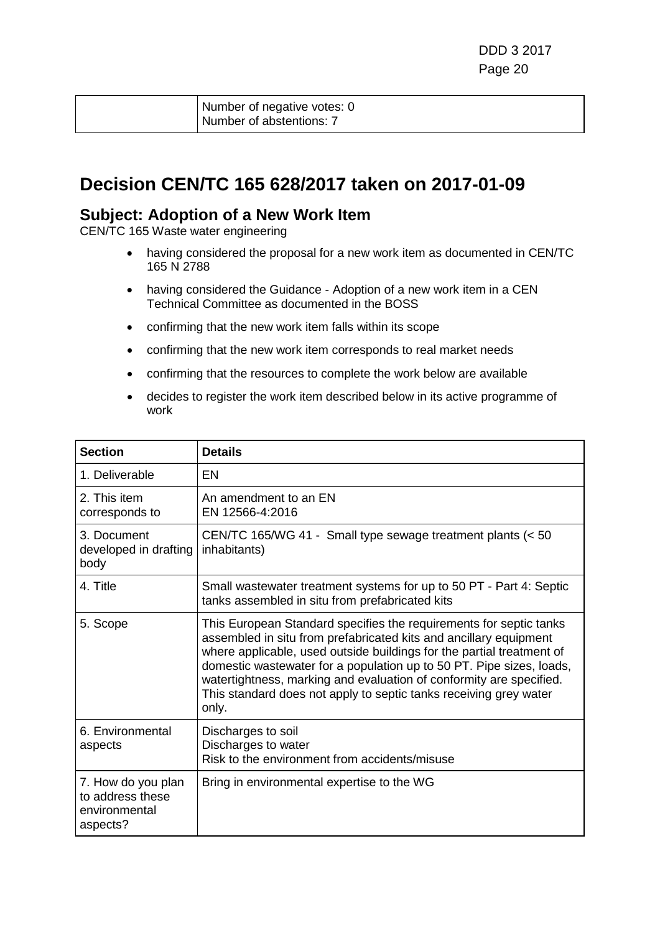| Number of negative votes: 0 |
|-----------------------------|
| Number of abstentions: 7    |

### **Decision CEN/TC 165 628/2017 taken on 2017-01-09**

#### **Subject: Adoption of a New Work Item**

- having considered the proposal for a new work item as documented in CEN/TC 165 N 2788
- having considered the Guidance Adoption of a new work item in a CEN Technical Committee as documented in the BOSS
- confirming that the new work item falls within its scope
- confirming that the new work item corresponds to real market needs
- confirming that the resources to complete the work below are available
- decides to register the work item described below in its active programme of work

| <b>Section</b>                                                      | <b>Details</b>                                                                                                                                                                                                                                                                                                                                                                                                                                |
|---------------------------------------------------------------------|-----------------------------------------------------------------------------------------------------------------------------------------------------------------------------------------------------------------------------------------------------------------------------------------------------------------------------------------------------------------------------------------------------------------------------------------------|
| 1. Deliverable                                                      | EN                                                                                                                                                                                                                                                                                                                                                                                                                                            |
| 2. This item<br>corresponds to                                      | An amendment to an EN<br>EN 12566-4:2016                                                                                                                                                                                                                                                                                                                                                                                                      |
| 3. Document<br>developed in drafting<br>body                        | CEN/TC 165/WG 41 - Small type sewage treatment plants (< 50<br>inhabitants)                                                                                                                                                                                                                                                                                                                                                                   |
| 4. Title                                                            | Small wastewater treatment systems for up to 50 PT - Part 4: Septic<br>tanks assembled in situ from prefabricated kits                                                                                                                                                                                                                                                                                                                        |
| 5. Scope                                                            | This European Standard specifies the requirements for septic tanks<br>assembled in situ from prefabricated kits and ancillary equipment<br>where applicable, used outside buildings for the partial treatment of<br>domestic wastewater for a population up to 50 PT. Pipe sizes, loads,<br>watertightness, marking and evaluation of conformity are specified.<br>This standard does not apply to septic tanks receiving grey water<br>only. |
| 6. Environmental<br>aspects                                         | Discharges to soil<br>Discharges to water<br>Risk to the environment from accidents/misuse                                                                                                                                                                                                                                                                                                                                                    |
| 7. How do you plan<br>to address these<br>environmental<br>aspects? | Bring in environmental expertise to the WG                                                                                                                                                                                                                                                                                                                                                                                                    |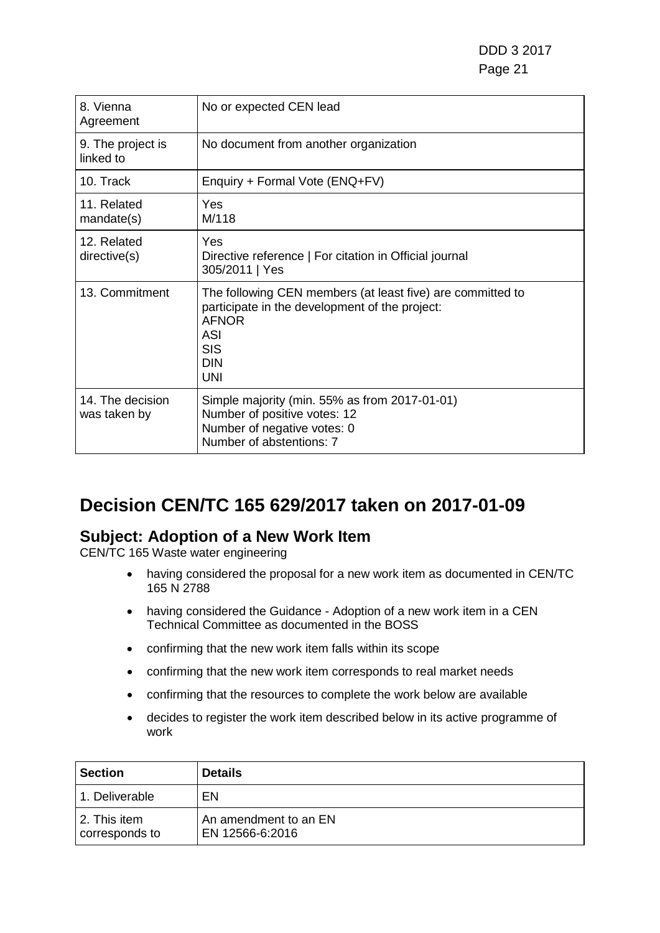DDD 3 2017 Page 21

| 8. Vienna<br>Agreement           | No or expected CEN lead                                                                                                                                                       |
|----------------------------------|-------------------------------------------------------------------------------------------------------------------------------------------------------------------------------|
| 9. The project is<br>linked to   | No document from another organization                                                                                                                                         |
| 10. Track                        | Enquiry + Formal Vote (ENQ+FV)                                                                                                                                                |
| 11. Related<br>mandate(s)        | Yes<br>M/118                                                                                                                                                                  |
| 12. Related<br>directive(s)      | Yes<br>Directive reference   For citation in Official journal<br>305/2011   Yes                                                                                               |
| 13. Commitment                   | The following CEN members (at least five) are committed to<br>participate in the development of the project:<br><b>AFNOR</b><br>ASI<br><b>SIS</b><br><b>DIN</b><br><b>UNI</b> |
| 14. The decision<br>was taken by | Simple majority (min. 55% as from 2017-01-01)<br>Number of positive votes: 12<br>Number of negative votes: 0<br>Number of abstentions: 7                                      |

### **Decision CEN/TC 165 629/2017 taken on 2017-01-09**

### **Subject: Adoption of a New Work Item**

- having considered the proposal for a new work item as documented in CEN/TC 165 N 2788
- having considered the Guidance Adoption of a new work item in a CEN Technical Committee as documented in the BOSS
- confirming that the new work item falls within its scope
- confirming that the new work item corresponds to real market needs
- confirming that the resources to complete the work below are available
- decides to register the work item described below in its active programme of work

| <b>Section</b>                    | <b>Details</b>                           |
|-----------------------------------|------------------------------------------|
| l 1. Deliverable                  | EN                                       |
| l 2. This item.<br>corresponds to | An amendment to an EN<br>EN 12566-6:2016 |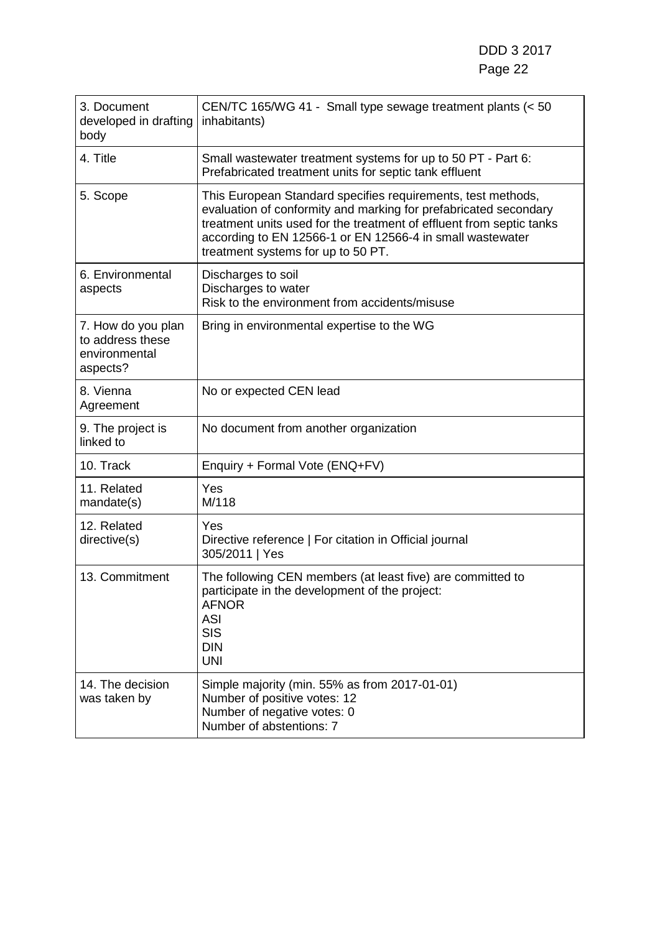| 3. Document<br>developed in drafting<br>body                        | CEN/TC 165/WG 41 - Small type sewage treatment plants (< 50<br>inhabitants)                                                                                                                                                                                                                                 |
|---------------------------------------------------------------------|-------------------------------------------------------------------------------------------------------------------------------------------------------------------------------------------------------------------------------------------------------------------------------------------------------------|
| 4. Title                                                            | Small wastewater treatment systems for up to 50 PT - Part 6:<br>Prefabricated treatment units for septic tank effluent                                                                                                                                                                                      |
| 5. Scope                                                            | This European Standard specifies requirements, test methods,<br>evaluation of conformity and marking for prefabricated secondary<br>treatment units used for the treatment of effluent from septic tanks<br>according to EN 12566-1 or EN 12566-4 in small wastewater<br>treatment systems for up to 50 PT. |
| 6. Environmental<br>aspects                                         | Discharges to soil<br>Discharges to water<br>Risk to the environment from accidents/misuse                                                                                                                                                                                                                  |
| 7. How do you plan<br>to address these<br>environmental<br>aspects? | Bring in environmental expertise to the WG                                                                                                                                                                                                                                                                  |
| 8. Vienna<br>Agreement                                              | No or expected CEN lead                                                                                                                                                                                                                                                                                     |
| 9. The project is<br>linked to                                      | No document from another organization                                                                                                                                                                                                                                                                       |
| 10. Track                                                           | Enquiry + Formal Vote (ENQ+FV)                                                                                                                                                                                                                                                                              |
| 11. Related<br>mandate(s)                                           | Yes<br>M/118                                                                                                                                                                                                                                                                                                |
| 12. Related<br>directive(s)                                         | Yes<br>Directive reference   For citation in Official journal<br>305/2011   Yes                                                                                                                                                                                                                             |
| 13. Commitment                                                      | The following CEN members (at least five) are committed to<br>participate in the development of the project:<br><b>AFNOR</b><br><b>ASI</b><br><b>SIS</b><br><b>DIN</b><br><b>UNI</b>                                                                                                                        |
| 14. The decision<br>was taken by                                    | Simple majority (min. 55% as from 2017-01-01)<br>Number of positive votes: 12<br>Number of negative votes: 0<br>Number of abstentions: 7                                                                                                                                                                    |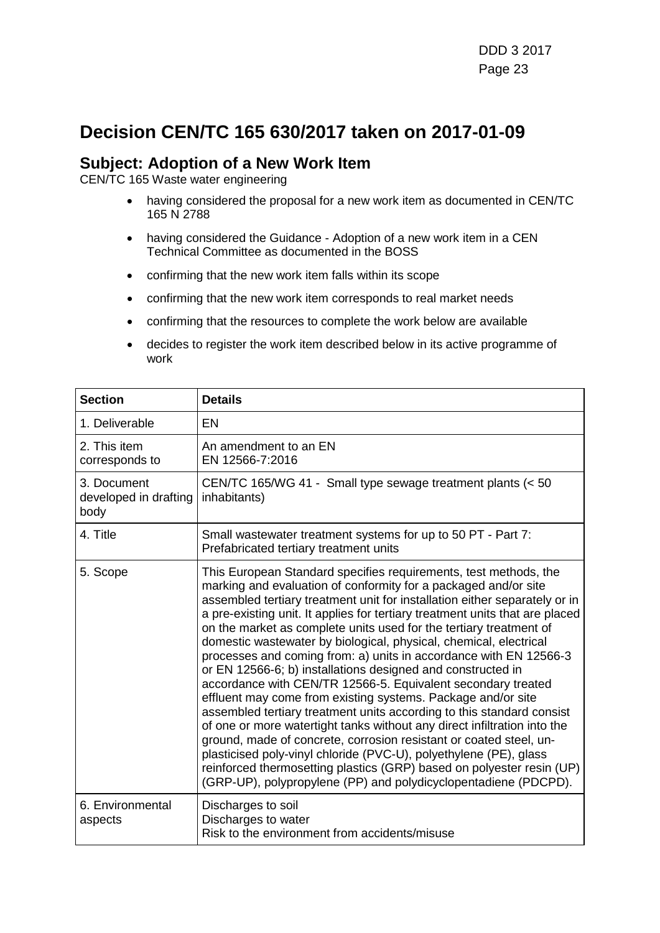### **Decision CEN/TC 165 630/2017 taken on 2017-01-09**

#### **Subject: Adoption of a New Work Item**

- having considered the proposal for a new work item as documented in CEN/TC 165 N 2788
- having considered the Guidance Adoption of a new work item in a CEN Technical Committee as documented in the BOSS
- confirming that the new work item falls within its scope
- confirming that the new work item corresponds to real market needs
- confirming that the resources to complete the work below are available
- decides to register the work item described below in its active programme of work

| <b>Section</b>                               | <b>Details</b>                                                                                                                                                                                                                                                                                                                                                                                                                                                                                                                                                                                                                                                                                                                                                                                                                                                                                                                                                                                                                                                                                                                                               |
|----------------------------------------------|--------------------------------------------------------------------------------------------------------------------------------------------------------------------------------------------------------------------------------------------------------------------------------------------------------------------------------------------------------------------------------------------------------------------------------------------------------------------------------------------------------------------------------------------------------------------------------------------------------------------------------------------------------------------------------------------------------------------------------------------------------------------------------------------------------------------------------------------------------------------------------------------------------------------------------------------------------------------------------------------------------------------------------------------------------------------------------------------------------------------------------------------------------------|
| 1. Deliverable                               | EN                                                                                                                                                                                                                                                                                                                                                                                                                                                                                                                                                                                                                                                                                                                                                                                                                                                                                                                                                                                                                                                                                                                                                           |
| 2. This item<br>corresponds to               | An amendment to an EN<br>EN 12566-7:2016                                                                                                                                                                                                                                                                                                                                                                                                                                                                                                                                                                                                                                                                                                                                                                                                                                                                                                                                                                                                                                                                                                                     |
| 3. Document<br>developed in drafting<br>body | CEN/TC 165/WG 41 - Small type sewage treatment plants (< 50<br>inhabitants)                                                                                                                                                                                                                                                                                                                                                                                                                                                                                                                                                                                                                                                                                                                                                                                                                                                                                                                                                                                                                                                                                  |
| 4. Title                                     | Small wastewater treatment systems for up to 50 PT - Part 7:<br>Prefabricated tertiary treatment units                                                                                                                                                                                                                                                                                                                                                                                                                                                                                                                                                                                                                                                                                                                                                                                                                                                                                                                                                                                                                                                       |
| 5. Scope                                     | This European Standard specifies requirements, test methods, the<br>marking and evaluation of conformity for a packaged and/or site<br>assembled tertiary treatment unit for installation either separately or in<br>a pre-existing unit. It applies for tertiary treatment units that are placed<br>on the market as complete units used for the tertiary treatment of<br>domestic wastewater by biological, physical, chemical, electrical<br>processes and coming from: a) units in accordance with EN 12566-3<br>or EN 12566-6; b) installations designed and constructed in<br>accordance with CEN/TR 12566-5. Equivalent secondary treated<br>effluent may come from existing systems. Package and/or site<br>assembled tertiary treatment units according to this standard consist<br>of one or more watertight tanks without any direct infiltration into the<br>ground, made of concrete, corrosion resistant or coated steel, un-<br>plasticised poly-vinyl chloride (PVC-U), polyethylene (PE), glass<br>reinforced thermosetting plastics (GRP) based on polyester resin (UP)<br>(GRP-UP), polypropylene (PP) and polydicyclopentadiene (PDCPD). |
| 6. Environmental<br>aspects                  | Discharges to soil<br>Discharges to water<br>Risk to the environment from accidents/misuse                                                                                                                                                                                                                                                                                                                                                                                                                                                                                                                                                                                                                                                                                                                                                                                                                                                                                                                                                                                                                                                                   |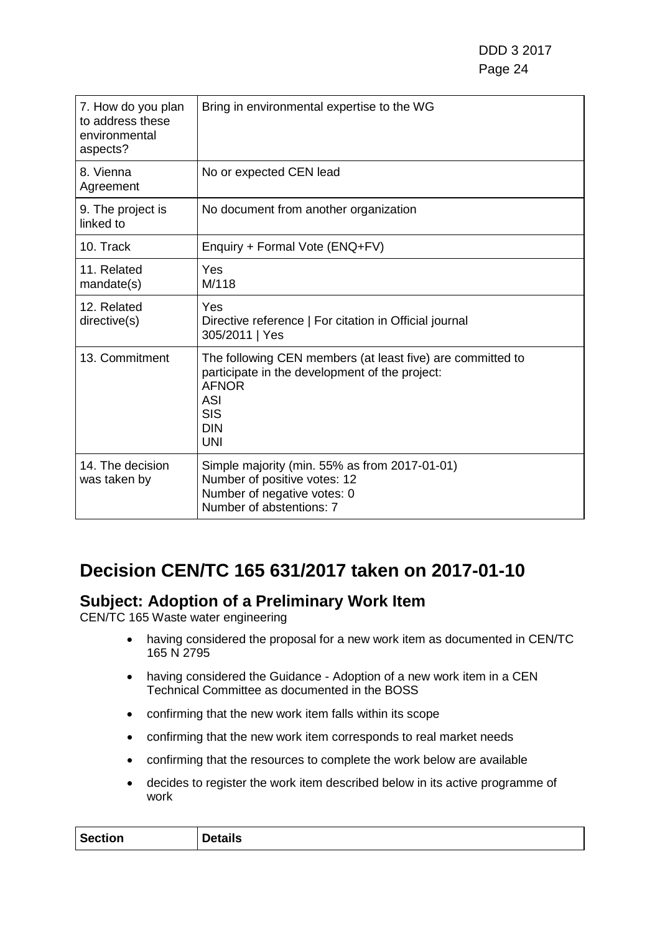| 7. How do you plan<br>to address these<br>environmental<br>aspects? | Bring in environmental expertise to the WG                                                                                                                                           |
|---------------------------------------------------------------------|--------------------------------------------------------------------------------------------------------------------------------------------------------------------------------------|
| 8. Vienna<br>Agreement                                              | No or expected CEN lead                                                                                                                                                              |
| 9. The project is<br>linked to                                      | No document from another organization                                                                                                                                                |
| 10. Track                                                           | Enquiry + Formal Vote (ENQ+FV)                                                                                                                                                       |
| 11. Related<br>mandate(s)                                           | Yes<br>M/118                                                                                                                                                                         |
| 12. Related<br>directive(s)                                         | Yes<br>Directive reference   For citation in Official journal<br>305/2011   Yes                                                                                                      |
| 13. Commitment                                                      | The following CEN members (at least five) are committed to<br>participate in the development of the project:<br><b>AFNOR</b><br><b>ASI</b><br><b>SIS</b><br><b>DIN</b><br><b>UNI</b> |
| 14. The decision<br>was taken by                                    | Simple majority (min. 55% as from 2017-01-01)<br>Number of positive votes: 12<br>Number of negative votes: 0<br>Number of abstentions: 7                                             |

## **Decision CEN/TC 165 631/2017 taken on 2017-01-10**

### **Subject: Adoption of a Preliminary Work Item**

- having considered the proposal for a new work item as documented in CEN/TC 165 N 2795
- having considered the Guidance Adoption of a new work item in a CEN Technical Committee as documented in the BOSS
- confirming that the new work item falls within its scope
- confirming that the new work item corresponds to real market needs
- confirming that the resources to complete the work below are available
- decides to register the work item described below in its active programme of work

| <b>Section</b><br>Details |  |
|---------------------------|--|
|---------------------------|--|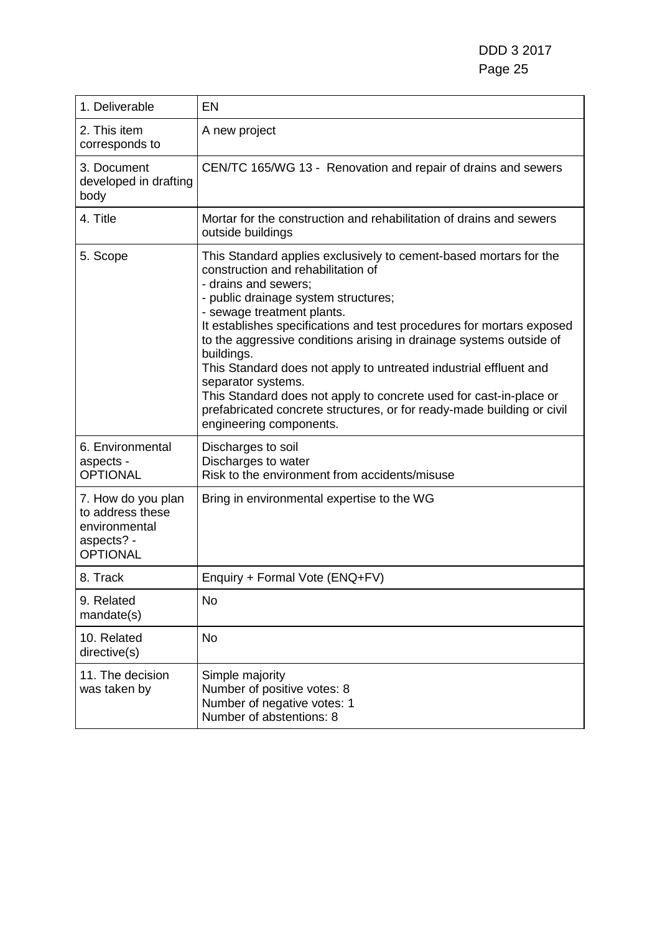| 1. Deliverable                                                                           | <b>EN</b>                                                                                                                                                                                                                                                                                                                                                                                                                                                                                                                                                                                                                                 |
|------------------------------------------------------------------------------------------|-------------------------------------------------------------------------------------------------------------------------------------------------------------------------------------------------------------------------------------------------------------------------------------------------------------------------------------------------------------------------------------------------------------------------------------------------------------------------------------------------------------------------------------------------------------------------------------------------------------------------------------------|
| 2. This item<br>corresponds to                                                           | A new project                                                                                                                                                                                                                                                                                                                                                                                                                                                                                                                                                                                                                             |
| 3. Document<br>developed in drafting<br>body                                             | CEN/TC 165/WG 13 - Renovation and repair of drains and sewers                                                                                                                                                                                                                                                                                                                                                                                                                                                                                                                                                                             |
| 4. Title                                                                                 | Mortar for the construction and rehabilitation of drains and sewers<br>outside buildings                                                                                                                                                                                                                                                                                                                                                                                                                                                                                                                                                  |
| 5. Scope                                                                                 | This Standard applies exclusively to cement-based mortars for the<br>construction and rehabilitation of<br>- drains and sewers;<br>- public drainage system structures;<br>- sewage treatment plants.<br>It establishes specifications and test procedures for mortars exposed<br>to the aggressive conditions arising in drainage systems outside of<br>buildings.<br>This Standard does not apply to untreated industrial effluent and<br>separator systems.<br>This Standard does not apply to concrete used for cast-in-place or<br>prefabricated concrete structures, or for ready-made building or civil<br>engineering components. |
| 6. Environmental<br>aspects -<br><b>OPTIONAL</b>                                         | Discharges to soil<br>Discharges to water<br>Risk to the environment from accidents/misuse                                                                                                                                                                                                                                                                                                                                                                                                                                                                                                                                                |
| 7. How do you plan<br>to address these<br>environmental<br>aspects? -<br><b>OPTIONAL</b> | Bring in environmental expertise to the WG                                                                                                                                                                                                                                                                                                                                                                                                                                                                                                                                                                                                |
| 8. Track                                                                                 | Enquiry + Formal Vote (ENQ+FV)                                                                                                                                                                                                                                                                                                                                                                                                                                                                                                                                                                                                            |
| 9. Related<br>mandate(s)                                                                 | No                                                                                                                                                                                                                                                                                                                                                                                                                                                                                                                                                                                                                                        |
| 10. Related<br>directive(s)                                                              | No                                                                                                                                                                                                                                                                                                                                                                                                                                                                                                                                                                                                                                        |
| 11. The decision<br>was taken by                                                         | Simple majority<br>Number of positive votes: 8<br>Number of negative votes: 1<br>Number of abstentions: 8                                                                                                                                                                                                                                                                                                                                                                                                                                                                                                                                 |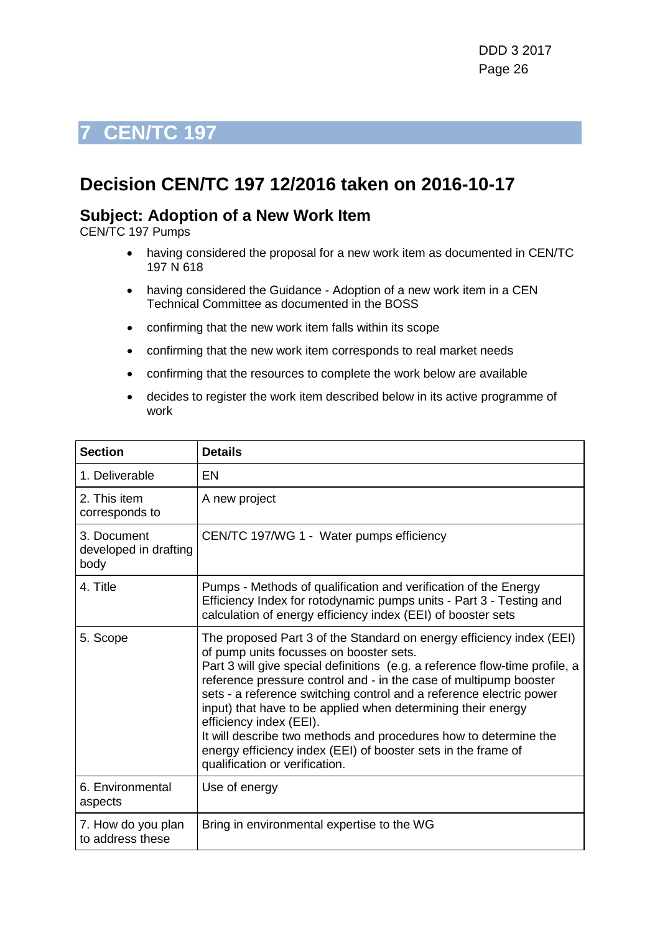### <span id="page-25-0"></span>**Decision CEN/TC 197 12/2016 taken on 2016-10-17**

#### **Subject: Adoption of a New Work Item**

CEN/TC 197 Pumps

- having considered the proposal for a new work item as documented in CEN/TC 197 N 618
- having considered the Guidance Adoption of a new work item in a CEN Technical Committee as documented in the BOSS
- confirming that the new work item falls within its scope
- confirming that the new work item corresponds to real market needs
- confirming that the resources to complete the work below are available
- decides to register the work item described below in its active programme of work

| <b>Section</b>                               | <b>Details</b>                                                                                                                                                                                                                                                                                                                                                                                                                                                                                                                                                                                               |
|----------------------------------------------|--------------------------------------------------------------------------------------------------------------------------------------------------------------------------------------------------------------------------------------------------------------------------------------------------------------------------------------------------------------------------------------------------------------------------------------------------------------------------------------------------------------------------------------------------------------------------------------------------------------|
| 1. Deliverable                               | EN                                                                                                                                                                                                                                                                                                                                                                                                                                                                                                                                                                                                           |
| 2. This item<br>corresponds to               | A new project                                                                                                                                                                                                                                                                                                                                                                                                                                                                                                                                                                                                |
| 3. Document<br>developed in drafting<br>body | CEN/TC 197/WG 1 - Water pumps efficiency                                                                                                                                                                                                                                                                                                                                                                                                                                                                                                                                                                     |
| 4. Title                                     | Pumps - Methods of qualification and verification of the Energy<br>Efficiency Index for rotodynamic pumps units - Part 3 - Testing and<br>calculation of energy efficiency index (EEI) of booster sets                                                                                                                                                                                                                                                                                                                                                                                                       |
| 5. Scope                                     | The proposed Part 3 of the Standard on energy efficiency index (EEI)<br>of pump units focusses on booster sets.<br>Part 3 will give special definitions (e.g. a reference flow-time profile, a<br>reference pressure control and - in the case of multipump booster<br>sets - a reference switching control and a reference electric power<br>input) that have to be applied when determining their energy<br>efficiency index (EEI).<br>It will describe two methods and procedures how to determine the<br>energy efficiency index (EEI) of booster sets in the frame of<br>qualification or verification. |
| 6. Environmental<br>aspects                  | Use of energy                                                                                                                                                                                                                                                                                                                                                                                                                                                                                                                                                                                                |
| 7. How do you plan<br>to address these       | Bring in environmental expertise to the WG                                                                                                                                                                                                                                                                                                                                                                                                                                                                                                                                                                   |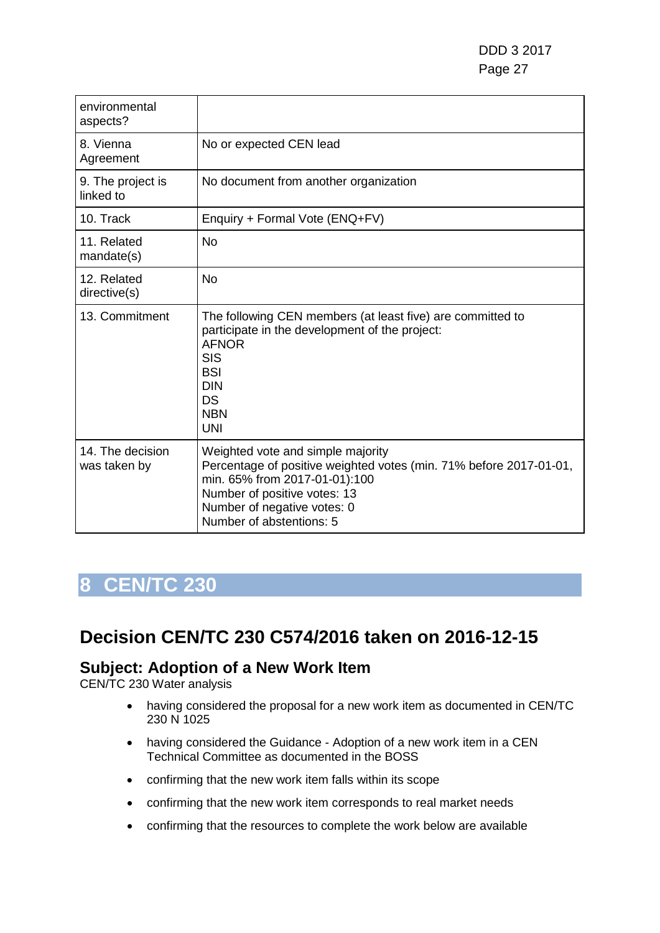| environmental<br>aspects?        |                                                                                                                                                                                                                                     |
|----------------------------------|-------------------------------------------------------------------------------------------------------------------------------------------------------------------------------------------------------------------------------------|
| 8. Vienna<br>Agreement           | No or expected CEN lead                                                                                                                                                                                                             |
| 9. The project is<br>linked to   | No document from another organization                                                                                                                                                                                               |
| 10. Track                        | Enquiry + Formal Vote (ENQ+FV)                                                                                                                                                                                                      |
| 11. Related<br>mandate(s)        | <b>No</b>                                                                                                                                                                                                                           |
| 12. Related<br>directive(s)      | <b>No</b>                                                                                                                                                                                                                           |
| 13. Commitment                   | The following CEN members (at least five) are committed to<br>participate in the development of the project:<br><b>AFNOR</b><br><b>SIS</b><br><b>BSI</b><br><b>DIN</b><br>DS<br><b>NBN</b><br><b>UNI</b>                            |
| 14. The decision<br>was taken by | Weighted vote and simple majority<br>Percentage of positive weighted votes (min. 71% before 2017-01-01,<br>min. 65% from 2017-01-01):100<br>Number of positive votes: 13<br>Number of negative votes: 0<br>Number of abstentions: 5 |

## <span id="page-26-0"></span>**Decision CEN/TC 230 C574/2016 taken on 2016-12-15**

### **Subject: Adoption of a New Work Item**

CEN/TC 230 Water analysis

- having considered the proposal for a new work item as documented in CEN/TC 230 N 1025
- having considered the Guidance Adoption of a new work item in a CEN Technical Committee as documented in the BOSS
- confirming that the new work item falls within its scope
- confirming that the new work item corresponds to real market needs
- confirming that the resources to complete the work below are available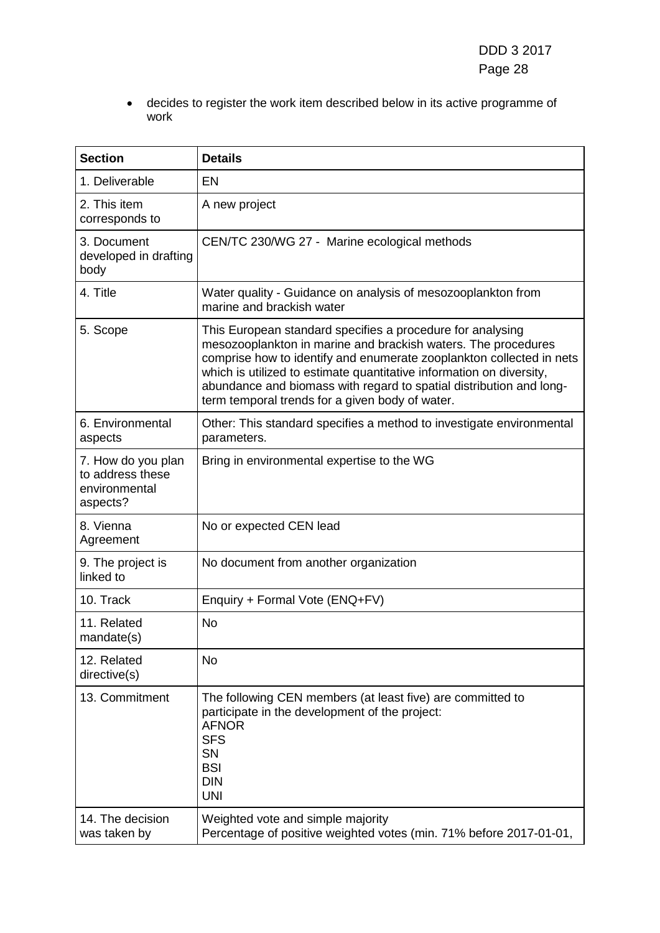• decides to register the work item described below in its active programme of work

| <b>Section</b>                                                      | <b>Details</b>                                                                                                                                                                                                                                                                                                                                                                                        |
|---------------------------------------------------------------------|-------------------------------------------------------------------------------------------------------------------------------------------------------------------------------------------------------------------------------------------------------------------------------------------------------------------------------------------------------------------------------------------------------|
| 1. Deliverable                                                      | <b>EN</b>                                                                                                                                                                                                                                                                                                                                                                                             |
| 2. This item<br>corresponds to                                      | A new project                                                                                                                                                                                                                                                                                                                                                                                         |
| 3. Document<br>developed in drafting<br>body                        | CEN/TC 230/WG 27 - Marine ecological methods                                                                                                                                                                                                                                                                                                                                                          |
| 4. Title                                                            | Water quality - Guidance on analysis of mesozooplankton from<br>marine and brackish water                                                                                                                                                                                                                                                                                                             |
| 5. Scope                                                            | This European standard specifies a procedure for analysing<br>mesozooplankton in marine and brackish waters. The procedures<br>comprise how to identify and enumerate zooplankton collected in nets<br>which is utilized to estimate quantitative information on diversity,<br>abundance and biomass with regard to spatial distribution and long-<br>term temporal trends for a given body of water. |
| 6. Environmental<br>aspects                                         | Other: This standard specifies a method to investigate environmental<br>parameters.                                                                                                                                                                                                                                                                                                                   |
| 7. How do you plan<br>to address these<br>environmental<br>aspects? | Bring in environmental expertise to the WG                                                                                                                                                                                                                                                                                                                                                            |
| 8. Vienna<br>Agreement                                              | No or expected CEN lead                                                                                                                                                                                                                                                                                                                                                                               |
| 9. The project is<br>linked to                                      | No document from another organization                                                                                                                                                                                                                                                                                                                                                                 |
| 10. Track                                                           | Enquiry + Formal Vote (ENQ+FV)                                                                                                                                                                                                                                                                                                                                                                        |
| 11. Related<br>mandate(s)                                           | No                                                                                                                                                                                                                                                                                                                                                                                                    |
| 12. Related<br>directive(s)                                         | No                                                                                                                                                                                                                                                                                                                                                                                                    |
| 13. Commitment                                                      | The following CEN members (at least five) are committed to<br>participate in the development of the project:<br><b>AFNOR</b><br><b>SFS</b><br>SN<br><b>BSI</b><br><b>DIN</b><br><b>UNI</b>                                                                                                                                                                                                            |
| 14. The decision<br>was taken by                                    | Weighted vote and simple majority<br>Percentage of positive weighted votes (min. 71% before 2017-01-01,                                                                                                                                                                                                                                                                                               |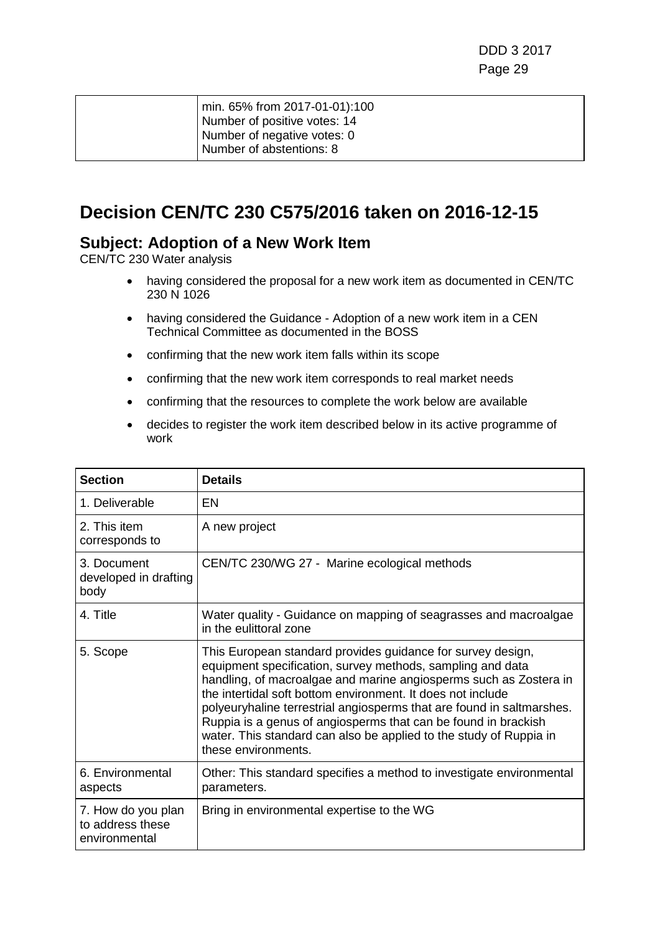| min. 65% from 2017-01-01):100<br>Number of positive votes: 14 |
|---------------------------------------------------------------|
| Number of negative votes: 0<br>Number of abstentions: 8       |

### **Decision CEN/TC 230 C575/2016 taken on 2016-12-15**

#### **Subject: Adoption of a New Work Item**

CEN/TC 230 Water analysis

- having considered the proposal for a new work item as documented in CEN/TC 230 N 1026
- having considered the Guidance Adoption of a new work item in a CEN Technical Committee as documented in the BOSS
- confirming that the new work item falls within its scope
- confirming that the new work item corresponds to real market needs
- confirming that the resources to complete the work below are available
- decides to register the work item described below in its active programme of work

| <b>Section</b>                                          | <b>Details</b>                                                                                                                                                                                                                                                                                                                                                                                                                                                                                        |
|---------------------------------------------------------|-------------------------------------------------------------------------------------------------------------------------------------------------------------------------------------------------------------------------------------------------------------------------------------------------------------------------------------------------------------------------------------------------------------------------------------------------------------------------------------------------------|
| 1. Deliverable                                          | EN                                                                                                                                                                                                                                                                                                                                                                                                                                                                                                    |
| 2. This item<br>corresponds to                          | A new project                                                                                                                                                                                                                                                                                                                                                                                                                                                                                         |
| 3. Document<br>developed in drafting<br>body            | CEN/TC 230/WG 27 - Marine ecological methods                                                                                                                                                                                                                                                                                                                                                                                                                                                          |
| 4. Title                                                | Water quality - Guidance on mapping of seagrasses and macroalgae<br>in the eulittoral zone                                                                                                                                                                                                                                                                                                                                                                                                            |
| 5. Scope                                                | This European standard provides guidance for survey design,<br>equipment specification, survey methods, sampling and data<br>handling, of macroalgae and marine angiosperms such as Zostera in<br>the intertidal soft bottom environment. It does not include<br>polyeuryhaline terrestrial angiosperms that are found in saltmarshes.<br>Ruppia is a genus of angiosperms that can be found in brackish<br>water. This standard can also be applied to the study of Ruppia in<br>these environments. |
| 6. Environmental<br>aspects                             | Other: This standard specifies a method to investigate environmental<br>parameters.                                                                                                                                                                                                                                                                                                                                                                                                                   |
| 7. How do you plan<br>to address these<br>environmental | Bring in environmental expertise to the WG                                                                                                                                                                                                                                                                                                                                                                                                                                                            |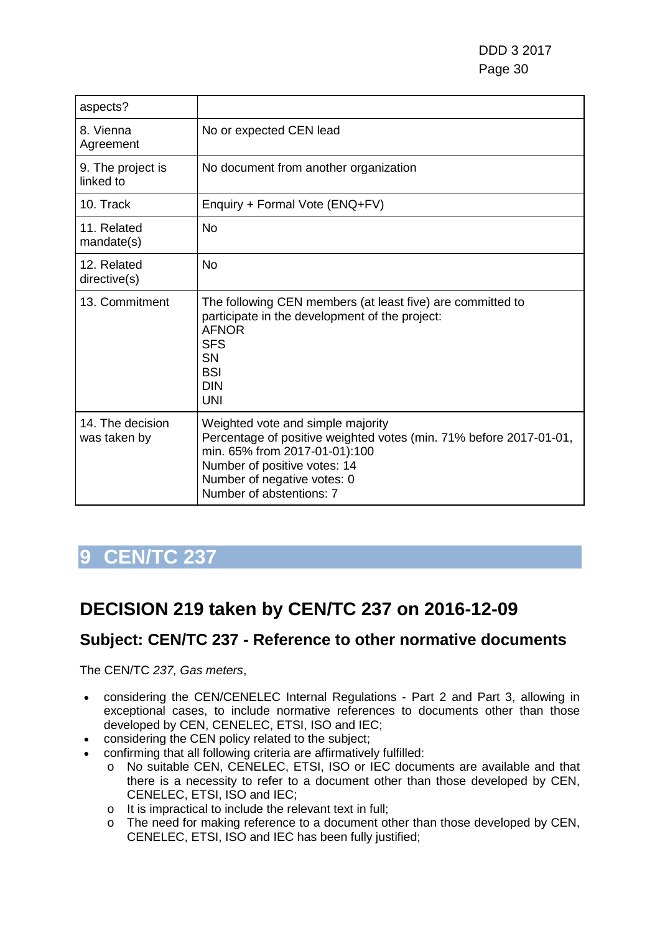| aspects?                         |                                                                                                                                                                                                                                     |
|----------------------------------|-------------------------------------------------------------------------------------------------------------------------------------------------------------------------------------------------------------------------------------|
| 8. Vienna<br>Agreement           | No or expected CEN lead                                                                                                                                                                                                             |
| 9. The project is<br>linked to   | No document from another organization                                                                                                                                                                                               |
| 10. Track                        | Enquiry + Formal Vote (ENQ+FV)                                                                                                                                                                                                      |
| 11. Related<br>mandate(s)        | No                                                                                                                                                                                                                                  |
| 12. Related<br>directive(s)      | No                                                                                                                                                                                                                                  |
| 13. Commitment                   | The following CEN members (at least five) are committed to<br>participate in the development of the project:<br><b>AFNOR</b><br><b>SFS</b><br><b>SN</b><br><b>BSI</b><br><b>DIN</b><br><b>UNI</b>                                   |
| 14. The decision<br>was taken by | Weighted vote and simple majority<br>Percentage of positive weighted votes (min. 71% before 2017-01-01,<br>min. 65% from 2017-01-01):100<br>Number of positive votes: 14<br>Number of negative votes: 0<br>Number of abstentions: 7 |

## <span id="page-29-0"></span>**DECISION 219 taken by CEN/TC 237 on 2016-12-09**

### **Subject: CEN/TC 237 - Reference to other normative documents**

The CEN/TC *237, Gas meters*,

- considering the CEN/CENELEC Internal Regulations Part 2 and Part 3, allowing in exceptional cases, to include normative references to documents other than those developed by CEN, CENELEC, ETSI, ISO and IEC;
- considering the CEN policy related to the subject;
- confirming that all following criteria are affirmatively fulfilled:
	- o No suitable CEN, CENELEC, ETSI, ISO or IEC documents are available and that there is a necessity to refer to a document other than those developed by CEN, CENELEC, ETSI, ISO and IEC;
	- o It is impractical to include the relevant text in full;
	- o The need for making reference to a document other than those developed by CEN, CENELEC, ETSI, ISO and IEC has been fully justified;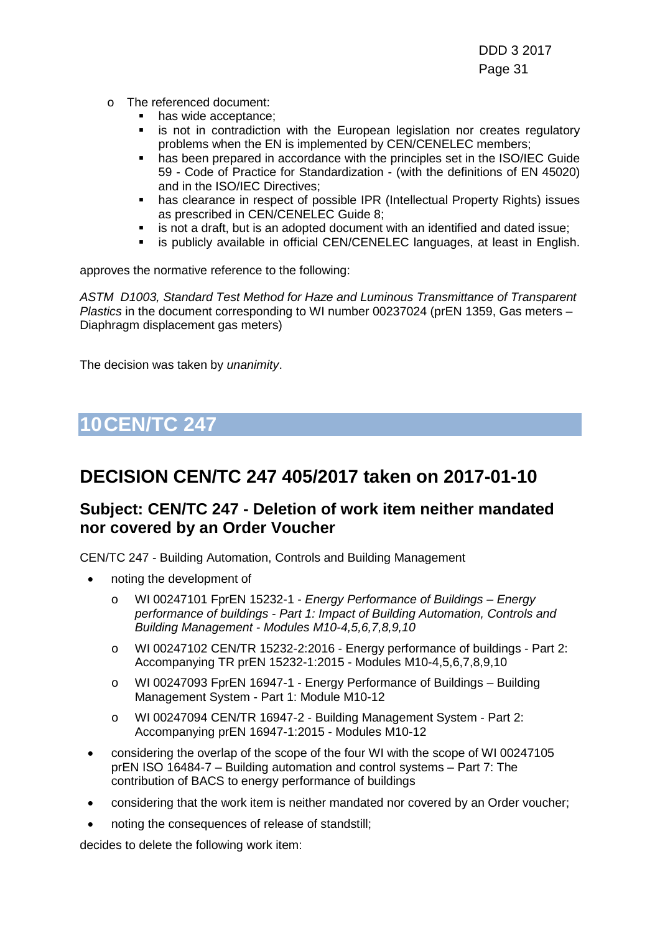- o The referenced document:
	- has wide acceptance;
	- is not in contradiction with the European legislation nor creates regulatory problems when the EN is implemented by CEN/CENELEC members;
	- has been prepared in accordance with the principles set in the ISO/IEC Guide 59 - Code of Practice for Standardization - (with the definitions of EN 45020) and in the ISO/IEC Directives;
	- has clearance in respect of possible IPR (Intellectual Property Rights) issues as prescribed in CEN/CENELEC Guide 8;
	- **EXECT** is not a draft, but is an adopted document with an identified and dated issue;
	- is publicly available in official CEN/CENELEC languages, at least in English.

approves the normative reference to the following:

*ASTM D1003, Standard Test Method for Haze and Luminous Transmittance of Transparent Plastics* in the document corresponding to WI number 00237024 (prEN 1359, Gas meters – Diaphragm displacement gas meters)

The decision was taken by *unanimity*.

# <span id="page-30-0"></span>**10CEN/TC 247**

### **DECISION CEN/TC 247 405/2017 taken on 2017-01-10**

#### **Subject: CEN/TC 247 - Deletion of work item neither mandated nor covered by an Order Voucher**

CEN/TC 247 - Building Automation, Controls and Building Management

- noting the development of
	- o WI 00247101 FprEN 15232-1 *Energy Performance of Buildings – Energy performance of buildings - Part 1: Impact of Building Automation, Controls and Building Management - Modules M10-4,5,6,7,8,9,10*
	- o WI 00247102 CEN/TR 15232-2:2016 Energy performance of buildings Part 2: Accompanying TR prEN 15232-1:2015 - Modules M10-4,5,6,7,8,9,10
	- o WI 00247093 FprEN 16947-1 Energy Performance of Buildings Building Management System - Part 1: Module M10-12
	- o WI 00247094 CEN/TR 16947-2 Building Management System Part 2: Accompanying prEN 16947-1:2015 - Modules M10-12
- considering the overlap of the scope of the four WI with the scope of WI 00247105 prEN ISO 16484-7 – Building automation and control systems – Part 7: The contribution of BACS to energy performance of buildings
- considering that the work item is neither mandated nor covered by an Order voucher;
- noting the consequences of release of standstill;

decides to delete the following work item: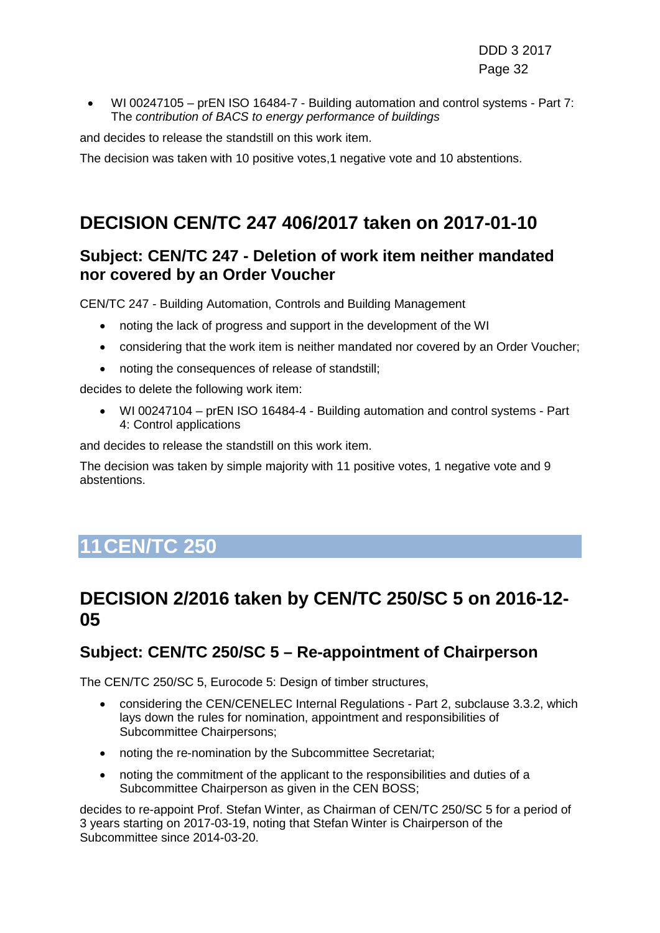• WI 00247105 – prEN ISO 16484-7 - Building automation and control systems - Part 7: The *contribution of BACS to energy performance of buildings*

and decides to release the standstill on this work item.

The decision was taken with 10 positive votes,1 negative vote and 10 abstentions.

## **DECISION CEN/TC 247 406/2017 taken on 2017-01-10**

### **Subject: CEN/TC 247 - Deletion of work item neither mandated nor covered by an Order Voucher**

CEN/TC 247 - Building Automation, Controls and Building Management

- noting the lack of progress and support in the development of the WI
- considering that the work item is neither mandated nor covered by an Order Voucher;
- noting the consequences of release of standstill;

decides to delete the following work item:

• WI 00247104 – prEN ISO 16484-4 - Building automation and control systems - Part 4: Control applications

and decides to release the standstill on this work item.

The decision was taken by simple majority with 11 positive votes, 1 negative vote and 9 abstentions.

# <span id="page-31-0"></span>**11CEN/TC 250**

### **DECISION 2/2016 taken by CEN/TC 250/SC 5 on 2016-12- 05**

### **Subject: CEN/TC 250/SC 5 – Re-appointment of Chairperson**

The CEN/TC 250/SC 5, Eurocode 5: Design of timber structures,

- considering the CEN/CENELEC Internal Regulations Part 2, subclause 3.3.2, which lays down the rules for nomination, appointment and responsibilities of Subcommittee Chairpersons;
- noting the re-nomination by the Subcommittee Secretariat;
- noting the commitment of the applicant to the responsibilities and duties of a Subcommittee Chairperson as given in the CEN BOSS;

decides to re-appoint Prof. Stefan Winter, as Chairman of CEN/TC 250/SC 5 for a period of 3 years starting on 2017-03-19, noting that Stefan Winter is Chairperson of the Subcommittee since 2014-03-20.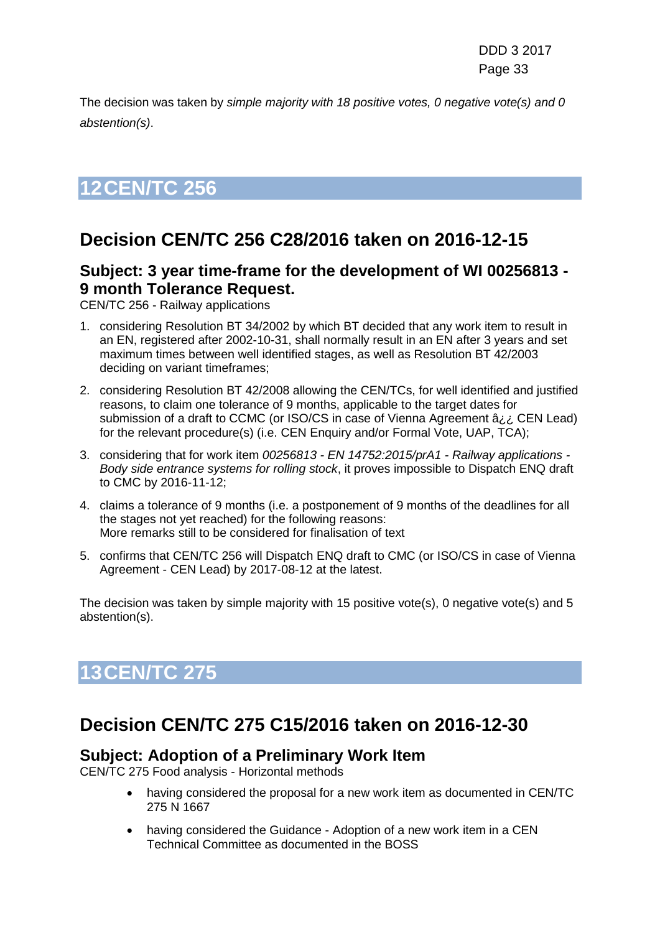The decision was taken by *simple majority with 18 positive votes, 0 negative vote(s) and 0 abstention(s)*.

# <span id="page-32-0"></span>**12CEN/TC 256**

## **Decision CEN/TC 256 C28/2016 taken on 2016-12-15**

### **Subject: 3 year time-frame for the development of WI 00256813 - 9 month Tolerance Request.**

CEN/TC 256 - Railway applications

- 1. considering Resolution BT 34/2002 by which BT decided that any work item to result in an EN, registered after 2002-10-31, shall normally result in an EN after 3 years and set maximum times between well identified stages, as well as Resolution BT 42/2003 deciding on variant timeframes;
- 2. considering Resolution BT 42/2008 allowing the CEN/TCs, for well identified and justified reasons, to claim one tolerance of 9 months, applicable to the target dates for submission of a draft to CCMC (or ISO/CS in case of Vienna Agreement â¿¿ CEN Lead) for the relevant procedure(s) (i.e. CEN Enquiry and/or Formal Vote, UAP, TCA);
- 3. considering that for work item *00256813 - EN 14752:2015/prA1 - Railway applications - Body side entrance systems for rolling stock*, it proves impossible to Dispatch ENQ draft to CMC by 2016-11-12;
- 4. claims a tolerance of 9 months (i.e. a postponement of 9 months of the deadlines for all the stages not yet reached) for the following reasons: More remarks still to be considered for finalisation of text
- 5. confirms that CEN/TC 256 will Dispatch ENQ draft to CMC (or ISO/CS in case of Vienna Agreement - CEN Lead) by 2017-08-12 at the latest.

The decision was taken by simple majority with 15 positive vote(s), 0 negative vote(s) and 5 abstention(s).

# <span id="page-32-1"></span>**13CEN/TC 275**

## **Decision CEN/TC 275 C15/2016 taken on 2016-12-30**

#### **Subject: Adoption of a Preliminary Work Item**

CEN/TC 275 Food analysis - Horizontal methods

- having considered the proposal for a new work item as documented in CEN/TC 275 N 1667
- having considered the Guidance Adoption of a new work item in a CEN Technical Committee as documented in the BOSS